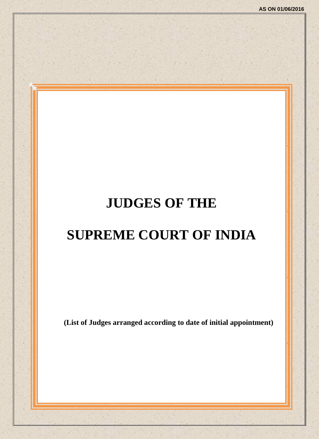# **JUDGES OF THE**

# **SUPREME COURT OF INDIA**

**(List of Judges arranged according to date of initial appointment)**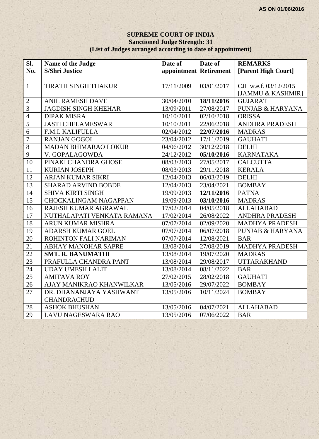#### **SUPREME COURT OF INDIA Sanctioned Judge Strength: 31 (List of Judges arranged according to date of appointment)**

| SI.             | Name of the Judge            | Date of                | Date of    | <b>REMARKS</b>              |
|-----------------|------------------------------|------------------------|------------|-----------------------------|
| No.             | <b>S/Shri Justice</b>        | appointment Retirement |            | [Parent High Court]         |
|                 |                              |                        |            |                             |
| $\mathbf{1}$    | TIRATH SINGH THAKUR          | 17/11/2009             | 03/01/2017 | CJI w.e.f. 03/12/2015       |
|                 |                              |                        |            | [JAMMU & KASHMIR]           |
| $\overline{2}$  | <b>ANIL RAMESH DAVE</b>      | 30/04/2010             | 18/11/2016 | <b>GUJARAT</b>              |
| $\overline{3}$  | <b>JAGDISH SINGH KHEHAR</b>  | 13/09/2011             | 27/08/2017 | PUNJAB & HARYANA            |
| $\overline{4}$  | <b>DIPAK MISRA</b>           | 10/10/2011             | 02/10/2018 | <b>ORISSA</b>               |
| $\overline{5}$  | <b>JASTI CHELAMESWAR</b>     | 10/10/2011             | 22/06/2018 | <b>ANDHRA PRADESH</b>       |
| 6               | F.M.I. KALIFULLA             | 02/04/2012             | 22/07/2016 | <b>MADRAS</b>               |
| $\overline{7}$  | <b>RANJAN GOGOI</b>          | 23/04/2012             | 17/11/2019 | <b>GAUHATI</b>              |
| $\overline{8}$  | <b>MADAN BHIMARAO LOKUR</b>  | 04/06/2012             | 30/12/2018 | <b>DELHI</b>                |
| $\overline{9}$  | V. GOPALAGOWDA               | 24/12/2012             | 05/10/2016 | <b>KARNATAKA</b>            |
| 10              | PINAKI CHANDRA GHOSE         | 08/03/2013             | 27/05/2017 | <b>CALCUTTA</b>             |
| 11              | <b>KURIAN JOSEPH</b>         | 08/03/2013             | 29/11/2018 | <b>KERALA</b>               |
| 12              | <b>ARJAN KUMAR SIKRI</b>     | 12/04/2013             | 06/03/2019 | <b>DELHI</b>                |
| $\overline{13}$ | <b>SHARAD ARVIND BOBDE</b>   | 12/04/2013             | 23/04/2021 | <b>BOMBAY</b>               |
| 14              | <b>SHIVA KIRTI SINGH</b>     | 19/09/2013             | 12/11/2016 | <b>PATNA</b>                |
| 15              | <b>CHOCKALINGAM NAGAPPAN</b> | 19/09/2013             | 03/10/2016 | <b>MADRAS</b>               |
| $\overline{16}$ | RAJESH KUMAR AGRAWAL         | 17/02/2014             | 04/05/2018 | <b>ALLAHABAD</b>            |
| 17              | NUTHALAPATI VENKATA RAMANA   | 17/02/2014             | 26/08/2022 | <b>ANDHRA PRADESH</b>       |
| 18              | ARUN KUMAR MISHRA            | 07/07/2014             | 02/09/2020 | <b>MADHYA PRADESH</b>       |
| 19              | <b>ADARSH KUMAR GOEL</b>     | 07/07/2014             | 06/07/2018 | <b>PUNJAB &amp; HARYANA</b> |
| $\overline{20}$ | ROHINTON FALI NARIMAN        | 07/07/2014             | 12/08/2021 | <b>BAR</b>                  |
| $\overline{21}$ | ABHAY MANOHAR SAPRE          | 13/08/2014             | 27/08/2019 | <b>MADHYA PRADESH</b>       |
| $\overline{22}$ | <b>SMT. R. BANUMATHI</b>     | 13/08/2014             | 19/07/2020 | <b>MADRAS</b>               |
| 23              | PRAFULLA CHANDRA PANT        | 13/08/2014             | 29/08/2017 | <b>UTTARAKHAND</b>          |
| 24              | <b>UDAY UMESH LALIT</b>      | 13/08/2014             | 08/11/2022 | <b>BAR</b>                  |
| $\overline{25}$ | <b>AMITAVA ROY</b>           | 27/02/2015             | 28/02/2018 | <b>GAUHATI</b>              |
| 26              | AJAY MANIKRAO KHANWILKAR     | 13/05/2016             | 29/07/2022 | <b>BOMBAY</b>               |
| 27              | DR. DHANANJAYA YASHWANT      | 13/05/2016             | 10/11/2024 | <b>BOMBAY</b>               |
|                 | <b>CHANDRACHUD</b>           |                        |            |                             |
| 28              | <b>ASHOK BHUSHAN</b>         | 13/05/2016             | 04/07/2021 | <b>ALLAHABAD</b>            |
| 29              | <b>LAVU NAGESWARA RAO</b>    | 13/05/2016             | 07/06/2022 | <b>BAR</b>                  |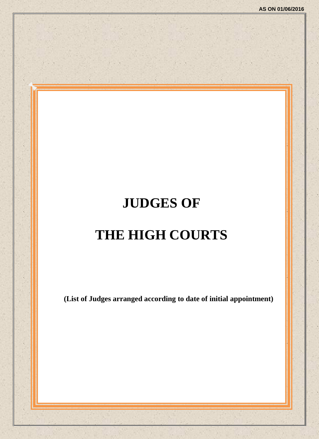# **JUDGES OF THE HIGH COURTS**

**(List of Judges arranged according to date of initial appointment)**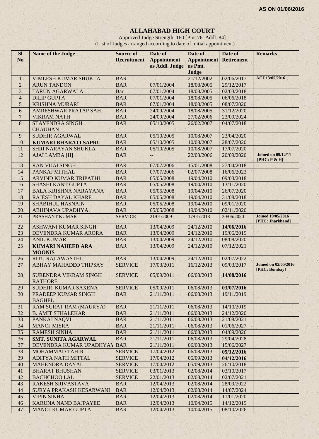# **ALLAHABAD HIGH COURT**

Approved Judge Strength: 160 [Pmt.76 Addl. 84] (List of Judges arranged according to date of initial appointment)

| <b>Sl</b>                      | <b>Name of the Judge</b>                          | <b>Source of</b>         | Date of                                       | Date of                  | Date of                  | <b>Remarks</b>                               |
|--------------------------------|---------------------------------------------------|--------------------------|-----------------------------------------------|--------------------------|--------------------------|----------------------------------------------|
| N <sub>o</sub>                 |                                                   | <b>Recruitment</b>       | <b>Appointment</b>                            | <b>Appointment</b>       | <b>Retirement</b>        |                                              |
|                                |                                                   |                          | as Addl. Judge                                | as Pmt.                  |                          |                                              |
|                                |                                                   |                          |                                               | Judge                    |                          | ACJ 13/05/2016                               |
| $\mathbf{1}$<br>$\overline{2}$ | <b>VIMLESH KUMAR SHUKLA</b><br><b>ARUN TANDON</b> | <b>BAR</b><br><b>BAR</b> | ц.<br>07/01/2004                              | 21/12/2002<br>18/08/2005 | 02/06/2017<br>29/12/2017 |                                              |
| $\overline{3}$                 | <b>TARUN AGARWALA</b>                             | Bar                      | 07/01/2004                                    | 18/08/2005               | 02/03/2018               |                                              |
| $\overline{4}$                 | <b>DILIP GUPTA</b>                                | <b>BAR</b>               | 07/01/2004                                    | 18/08/2005               | 06/06/2018               |                                              |
| 5                              | <b>KRISHNA MURARI</b>                             | <b>BAR</b>               | 07/01/2004                                    | 18/08/2005               | 08/07/2020               |                                              |
| 6                              | <b>AMRESHWAR PRATAP SAHI</b>                      | <b>BAR</b>               | 24/09/2004                                    | 18/08/2005               | 31/12/2020               |                                              |
| $\overline{7}$                 | <b>VIKRAM NATH</b>                                | <b>BAR</b>               | 24/09/2004                                    | 27/02/2006               | 23/09/2024               |                                              |
|                                |                                                   |                          |                                               |                          |                          |                                              |
| $\,8\,$                        | <b>STAYENDRA SINGH</b><br><b>CHAUHAN</b>          | <b>BAR</b>               | 05/10/2005                                    | 26/02/2007               | 04/07/2018               |                                              |
| 9                              | <b>SUDHIR AGARWAL</b>                             | <b>BAR</b>               | 05/10/2005                                    | 10/08/2007               | 23/04/2020               |                                              |
| 10                             | <b>KUMARI BHARATI SAPRU</b>                       | <b>BAR</b>               | 05/10/2005                                    | 10/08/2007               | 28/07/2020               |                                              |
| 11                             | <b>SHRI NARAYAN SHUKLA</b>                        | <b>BAR</b>               | 05/10/2005                                    | 10/08/2007               | 17/07/2020               |                                              |
| 12                             | <b>AJAI LAMBA [H]</b>                             | <b>BAR</b>               | $\mathord{\hspace{1pt}\text{--}\hspace{1pt}}$ | 22/03/2006               | 20/09/2020               | <b>Joined on 09/12/11</b><br>[PHC: P & H]    |
| 13                             | <b>RAN VIJAI SINGH</b>                            | <b>BAR</b>               | 07/07/2006                                    | 15/01/2008               | 27/04/2018               |                                              |
| 14                             | PANKAJ MITHAL                                     | <b>BAR</b>               | 07/07/2006                                    | 02/07/2008               | 16/06/2023               |                                              |
| 15                             | <b>ARVIND KUMAR TRIPATHI</b>                      | <b>BAR</b>               | 05/05/2008                                    | 19/04/2010               | 09/03/2018               |                                              |
| 16                             | <b>SHASHI KANT GUPTA</b>                          | <b>BAR</b>               | 05/05/2008                                    | 19/04/2010               | 13/11/2020               |                                              |
| 17                             | <b>BALA KRISHNA NARAYANA</b>                      | <b>BAR</b>               | 05/05/2008                                    | 19/04/2010               | 26/07/2020               |                                              |
| 18                             | <b>RAJESH DAYAL KHARE</b>                         | <b>BAR</b>               | 05/05/2008                                    | 19/04/2010               | 31/08/2018               |                                              |
| 19                             | <b>SHABIHUL HASNAIN</b>                           | <b>BAR</b>               | 05/05/2008                                    | 19/04/2010               | 09/01/2020               |                                              |
| 20                             | <b>ABHINAVA UPADHYA</b>                           | <b>BAR</b>               | 05/05/2008                                    | 19/04/2010               | 02/11/2020               |                                              |
| 21                             | PRASHANT KUMAR                                    | <b>SERVICE</b>           | 21/01/2009                                    | 17/01/2013               | 30/06/2020               | <b>Joined 19/05/2016</b><br>[PHC: Jharkhand] |
| 22                             | <b>ASHWANI KUMAR SINGH</b>                        | <b>BAR</b>               | 13/04/2009                                    | 24/12/2010               | 14/06/2016               |                                              |
| 23                             | DEVENDRA KUMAR ARORA                              | <b>BAR</b>               | 13/04/2009                                    | 24/12/2010               | 19/06/2019               |                                              |
| 24                             | <b>ANIL KUMAR</b>                                 | <b>BAR</b>               | 13/04/2009                                    | 24/12/2010               | 08/08/2020               |                                              |
| 25                             | <b>KUMARI NAHEED ARA</b><br><b>MOONIS</b>         | <b>BAR</b>               | 13/04/2009                                    | 24/12/2010               | 07/12/2021               |                                              |
| 26                             | <b>RITU RAJ AWASTHI</b>                           | <b>BAR</b>               | 13/04/2009                                    | 24/12/2010               | 02/07/2022               |                                              |
| 27                             | <b>ABHAY MAHADEO THIPSAY</b>                      | <b>SERVICE</b>           | 17/03/2011                                    | 16/12/2013               | 09/03/2017               | <b>Joined on 02/05/2016</b>                  |
| 28                             | <b>SURENDRA VIKRAM SINGH</b>                      | <b>SERVICE</b>           | 05/09/2011                                    | 06/08/2013               | 14/08/2016               | [PHC: Bombay]                                |
|                                | <b>RATHORE</b>                                    |                          |                                               |                          |                          |                                              |
| 29                             | SUDHIR KUMAR SAXENA                               | <b>SERVICE</b>           | 05/09/2011                                    | 06/08/2013               | 03/07/2016               |                                              |
| 30                             | PRADEEP KUMAR SINGH<br><b>BAGHEL</b>              | <b>BAR</b>               | 21/11/2011                                    | 06/08/2013               | 19/11/2019               |                                              |
| 31                             | <b>RAM SURAT RAM (MAURYA)</b>                     | <b>BAR</b>               | 21/11/2011                                    | 06/08/2013               | 14/10/2019               |                                              |
| 32                             | <b>B. AMIT STHALEKAR</b>                          | <b>BAR</b>               | 21/11/2011                                    | 06/08/2013               | 24/12/2020               |                                              |
| 33                             | PANKAJ NAQVI                                      | <b>BAR</b>               | 21/11/2011                                    | 06/08/2013               | 21/08/2021               |                                              |
| 34                             | <b>MANOJ MISRA</b>                                | <b>BAR</b>               | 21/11/2011                                    | 06/08/2013               | 01/06/2027               |                                              |
| 35                             | <b>RAMESH SINHA</b>                               | <b>BAR</b>               | 21/11/2011                                    | 06/08/2013               | 04/09/2026               |                                              |
| 36                             | <b>SMT. SUNITA AGARWAL</b>                        | <b>BAR</b>               | 21/11/2011                                    | 06/08/2013               | 29/04/2028               |                                              |
| 37 <sup>°</sup>                | DEVENDRA KUMAR UPADHYAY                           | <b>BAR</b>               | 21/11/2011                                    | 06/08/2013               | 15/06/2027               |                                              |
| 38                             | <b>MOHAMMAD TAHIR</b>                             | <b>SERVICE</b>           | 17/04/2012                                    | 06/08/2013               | 05/12/2016               |                                              |
| 39                             | ADITYA NATH MITTAL                                | <b>SERVICE</b>           | 17/04/2012                                    | 05/09/2013               | 04/12/2016               |                                              |
| 40                             | <b>MAHENDRA DAYAL</b>                             | <b>SERVICE</b>           | 17/04/2012                                    | 05/09/2013               | 26/10/2018               |                                              |
| 41                             | <b>BHARAT BHUSHAN</b>                             | <b>SERVICE</b>           | 03/01/2013                                    | 02/08/2014               | 03/10/2017               |                                              |
| 42                             | <b>BACHCHOO LAL</b>                               | <b>SERVICE</b>           | 22/01/2013                                    | 02/08/2014               | 02/07/2021               |                                              |
| 43                             | RAKESH SRIVASTAVA                                 | <b>BAR</b>               | 12/04/2013                                    | 02/08/2014               | 28/09/2022               |                                              |
| 44                             | SURYA PRAKASH KESARWANI                           | <b>BAR</b>               | 12/04/2013                                    | 02/08/2014               | 14/07/2024               |                                              |
| 45                             | <b>VIPIN SINHA</b>                                | <b>BAR</b>               | 12/04/2013                                    | 02/08/2014               | 11/01/2020               |                                              |
| 46                             | <b>KARUNA NAND BAJPAYEE</b>                       | <b>BAR</b>               | 12/04/2013                                    | 10/04/2015               | 14/12/2019               |                                              |
| 47                             | <b>MANOJ KUMAR GUPTA</b>                          | <b>BAR</b>               | 12/04/2013                                    | 10/04/2015               | 08/10/2026               |                                              |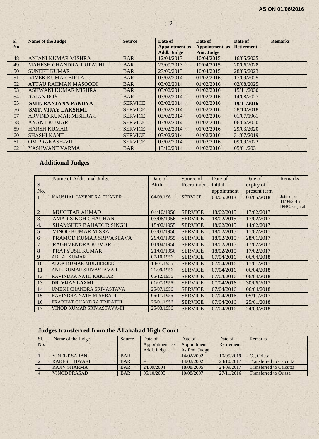| <b>SI</b><br>N <sub>0</sub> | <b>Name of the Judge</b>       | <b>Source</b>  | Date of<br><b>Appointment</b> as | Date of<br>Appointment as | Date of<br><b>Retirement</b> | <b>Remarks</b> |
|-----------------------------|--------------------------------|----------------|----------------------------------|---------------------------|------------------------------|----------------|
|                             |                                |                | <b>Addl. Judge</b>               | Pmt. Judge                |                              |                |
| 48                          | <b>ANJANI KUMAR MISHRA</b>     | <b>BAR</b>     | 12/04/2013                       | 10/04/2015                | 16/05/2025                   |                |
| 49                          | <b>MAHESH CHANDRA TRIPATHI</b> | <b>BAR</b>     | 27/09/2013                       | 10/04/2015                | 20/06/2028                   |                |
| 50                          | <b>SUNEET KUMAR</b>            | <b>BAR</b>     | 27/09/2013                       | 10/04/2015                | 28/05/2023                   |                |
| 51                          | VIVEK KUMAR BIRLA              | <b>BAR</b>     | 03/02/2014                       | 01/02/2016                | 17/09/2025                   |                |
| 52                          | <b>ATTAU RAHMAN MASOODI</b>    | <b>BAR</b>     | 03/02/2014                       | 01/02/2016                | 02/08/2025                   |                |
| 53                          | ASHWANI KUMAR MISHRA           | <b>BAR</b>     | 03/02/2014                       | 01/02/2016                | 15/11/2030                   |                |
| 54                          | <b>RAJAN ROY</b>               | <b>BAR</b>     | 03/02/2014                       | 01/02/2016                | 14/08/2027                   |                |
| 55                          | <b>SMT. RANJANA PANDYA</b>     | <b>SERVICE</b> | 03/02/2014                       | 01/02/2016                | 19/11/2016                   |                |
| 56                          | <b>SMT. VIJAY LAKSHMI</b>      | <b>SERVICE</b> | 03/02/2014                       | 01/02/2016                | 28/10/2018                   |                |
| 57                          | <b>ARVIND KUMAR MISHRA-I</b>   | <b>SERVICE</b> | 03/02/2014                       | 01/02/2016                | 01/07/1961                   |                |
| 58                          | <b>ANANT KUMAR</b>             | <b>SERVICE</b> | 03/02/2014                       | 01/02/2016                | 06/06/2020                   |                |
| 59                          | <b>HARSH KUMAR</b>             | <b>SERVICE</b> | 03/02/2014                       | 01/02/2016                | 29/03/2020                   |                |
| 60                          | <b>SHASHI KANT</b>             | <b>SERVICE</b> | 03/02/2014                       | 01/02/2016                | 31/07/2019                   |                |
| 61                          | <b>OM PRAKASH-VII</b>          | <b>SERVICE</b> | 03/02/2014                       | 01/02/2016                | 09/09/2022                   |                |
| 62                          | YASHWANT VARMA                 | <b>BAR</b>     | 13/10/2014                       | 01/02/2016                | 05/01/2031                   |                |

: 2 :

# **Additional Judges**

|                  | Name of Additional Judge        | Date of      | Source of      | Date of     | Date of      | Remarks        |
|------------------|---------------------------------|--------------|----------------|-------------|--------------|----------------|
| S1.              |                                 | <b>Birth</b> | Recruitment    | initial     | expiry of    |                |
| No.              |                                 |              |                | appointment | present term |                |
|                  | KAUSHAL JAYENDRA THAKER         | 04/09/1961   | <b>SERVICE</b> | 04/05/2013  | 03/05/2018   | Joined on      |
|                  |                                 |              |                |             |              | 11/04/2016     |
| $\overline{2}$   | <b>MUKHTAR AHMAD</b>            | 04/10/1956   | <b>SERVICE</b> | 18/02/2015  | 17/02/2017   | [PHC: Gujarat] |
|                  |                                 |              |                |             |              |                |
| 3.               | <b>AMAR SINGH CHAUHAN</b>       | 03/06/1956   | <b>SERVICE</b> | 18/02/2015  | 17/02/2017   |                |
| $\overline{4}$ . | <b>SHAMSHER BAHADUR SINGH</b>   | 15/02/1955   | <b>SERVICE</b> | 18/02/2015  | 14/02/2017   |                |
| 5                | <b>VINOD KUMAR MISRA</b>        | 03/01/1956   | <b>SERVICE</b> | 18/02/2015  | 17/02/2017   |                |
| 6                | PRAMOD KUMAR SRIVASTAVA         | 29/01/1955   | <b>SERVICE</b> | 18/02/2015  | 28/01/2017   |                |
| 7                | <b>RAGHVENDRA KUMAR</b>         | 01/04/1956   | <b>SERVICE</b> | 18/02/2015  | 17/02/2017   |                |
| 8                | <b>PRATYUSH KUMAR</b>           | 21/01/1956   | <b>SERVICE</b> | 18/02/2015  | 17/02/2017   |                |
| 9                | <b>ABHAI KUMAR</b>              | 07/10/1956   | <b>SERVICE</b> | 07/04/2016  | 06/04/2018   |                |
| 10               | <b>ALOK KUMAR MUKHERJEE</b>     | 18/01/1955   | <b>SERVICE</b> | 07/04/2016  | 17/01/2017   |                |
| 11               | <b>ANIL KUMAR SRIVASTAVA-II</b> | 21/09/1956   | <b>SERVICE</b> | 07/04/2016  | 06/04/2018   |                |
| 12               | <b>RAVINDRA NATH KAKKAR</b>     | 05/12/1956   | <b>SERVICE</b> | 07/04/2016  | 06/04/2018   |                |
| 13               | <b>DR. VIJAY LAXMI</b>          | 01/07/1955   | <b>SERVICE</b> | 07/04/2016  | 30/06/2017   |                |
| 14               | UMESH CHANDRA SRIVASTAVA        | 25/07/1956   | <b>SERVICE</b> | 07/04/2016  | 06/04/2018   |                |
| 15               | RAVINDRA NATH MISHRA-II         | 06/11/1955   | <b>SERVICE</b> | 07/04/2016  | 05/11/2017   |                |
| 16               | PRABHAT CHANDRA TRIPATHI        | 26/01/1956   | <b>SERVICE</b> | 07/04/2016  | 25/01/2018   |                |
| 17               | VINOD KUMAR SRIVASTAVA-III      | 25/03/1956   | <b>SERVICE</b> | 07/04/2016  | 24/03/2018   |                |

# **Judges transferred from the Allahabad High Court**

| Sl.<br>No. | Name of the Judge    | Source     | Date of<br>Appointment as | Date of<br>Appointment | Date of<br>Retirement | Remarks                        |
|------------|----------------------|------------|---------------------------|------------------------|-----------------------|--------------------------------|
|            |                      |            | Addl. Judge               | As Pmt. Judge          |                       |                                |
|            | <b>VINEET SARAN</b>  | <b>BAR</b> | $\qquad \qquad -$         | 14/02/2002             | 10/05/2019            | CJ. Orissa                     |
|            | <b>RAKESH TIWARI</b> | <b>BAR</b> | $-$                       | 14/02/2002             | 24/10/2017            | <b>Transferred to Calcutta</b> |
|            | <b>RAJIV SHARMA</b>  | <b>BAR</b> | 24/09/2004                | 18/08/2005             | 24/09/2017            | <b>Transferred to Calcutta</b> |
|            | <b>VINOD PRASAD</b>  | <b>BAR</b> | 05/10/2005                | 10/08/2007             | 27/11/2016            | <b>Transferred to Orissa</b>   |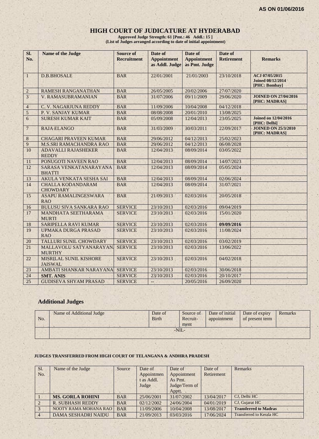# **HIGH COURT OF JUDICATURE AT HYDERABAD**

**Approved Judge Strength: 61 [Pmt.: 46 Addl.: 15 ] (List of Judges arranged according to date of initial appointment)**

| SI.<br>No.       | <b>Name of the Judge</b>                    | <b>Source of</b><br><b>Recruitment</b> | Date of<br><b>Appointment</b> | Date of<br><b>Appointment</b> | Date of<br><b>Retirement</b> | <b>Remarks</b>                                              |
|------------------|---------------------------------------------|----------------------------------------|-------------------------------|-------------------------------|------------------------------|-------------------------------------------------------------|
|                  |                                             |                                        | as Addl. Judge                | as Pmt. Judge                 |                              |                                                             |
| $\mathbf{1}$     | <b>D.B.BHOSALE</b>                          | <b>BAR</b>                             | 22/01/2001                    | 21/01/2003                    | 23/10/2018                   | ACJ 07/05/2015<br><b>Joined 08/12/2014</b><br>[PHC: Bombay] |
| $\sqrt{2}$       | <b>RAMESH RANGANATHAN</b>                   | <b>BAR</b>                             | 26/05/2005                    | 20/02/2006                    | 27/07/2020                   |                                                             |
| 3 <sup>1</sup>   | <b>V. RAMASUBRAMANIAN</b>                   | <b>BAR</b>                             | 31/07/2006                    | 09/11/2009                    | 29/06/2020                   | <b>JOINED ON 27/04/2016</b><br>[PHC: MADRAS]                |
| $\overline{4}$   | C. V. NAGARJUNA REDDY                       | <b>BAR</b>                             | 11/09/2006                    | 10/04/2008                    | 04/12/2018                   |                                                             |
| $\sqrt{5}$       | P. V. SANJAY KUMAR                          | <b>BAR</b>                             | 08/08/2008                    | 20/01/2010                    | 13/08/2025                   |                                                             |
| $\boldsymbol{6}$ | <b>SURESH KUMAR KAIT</b>                    | <b>BAR</b>                             | 05/09/2008                    | 12/04/2013                    | 23/05/2025                   | <b>Joined on 12/04/2016</b><br>[PHC: Delhi]                 |
| $\overline{7}$   | <b>RAJA ELANGO</b>                          | <b>BAR</b>                             | 31/03/2009                    | 30/03/2011                    | 22/09/2017                   | <b>JOINED ON 25/3/2010</b><br>[PHC: MADRAS]                 |
| $\,8$            | <b>CHAGARI PRAVEEN KUMAR</b>                | <b>BAR</b>                             | 29/06/2012                    | 04/12/2013                    | 25/02/2023                   |                                                             |
| $\boldsymbol{9}$ | <b>M.S.SRI RAMACHANDRA RAO</b>              | <b>BAR</b>                             | 29/06/2012                    | 04/12/2013                    | 06/08/2028                   |                                                             |
| 10               | <b>ADAVALLI RAJASHEKER</b><br><b>REDDY</b>  | <b>BAR</b>                             | 12/04/2013                    | 08/09/2014                    | 03/05/2022                   |                                                             |
| 11               | PONUGOTI NAVEEN RAO                         | <b>BAR</b>                             | 12/04/2013                    | 08/09/2014                    | 14/07/2023                   |                                                             |
| 12               | SARASA VENKATANARAYANA<br><b>BHATTI</b>     | <b>BAR</b>                             | 12/04/2013                    | 08/09/2014                    | 05/05/2024                   |                                                             |
| 13               | AKULA VENKATA SESHA SAI                     | <b>BAR</b>                             | 12/04/2013                    | 08/09/2014                    | 02/06/2024                   |                                                             |
| 14               | <b>CHALLA KODANDARAM</b><br><b>CHOWDARY</b> | <b>BAR</b>                             | 12/04/2013                    | 08/09/2014                    | 31/07/2021                   |                                                             |
| 15               | <b>ASAPU RAMALINGESWARA</b><br><b>RAO</b>   | <b>BAR</b>                             | 21/09/2013                    | 02/03/2016                    | 20/05/2018                   |                                                             |
| 16               | <b>BULUSU SIVA SANKARA RAO</b>              | <b>SERVICE</b>                         | 23/10/2013                    | 02/03/2016                    | 09/04/2019                   |                                                             |
| 17               | MANDHATA SEETHARAMA<br><b>MURTI</b>         | <b>SERVICE</b>                         | 23/10/2013                    | 02/03/2016                    | 15/01/2020                   |                                                             |
| 18               | SARIPELLA RAVI KUMAR                        | <b>SERVICE</b>                         | 23/10/2013                    | 02/03/2016                    | 09/09/2016                   |                                                             |
| 19               | UPMAKA DURGA PRASAD<br><b>RAO</b>           | <b>SERVICE</b>                         | 23/10/2013                    | 02/03/2016                    | 11/08/2024                   |                                                             |
| $20\,$           | <b>TALLURI SUNIL CHOWDARY</b>               | <b>SERVICE</b>                         | 23/10/2013                    | 02/03/2016                    | 03/02/2019                   |                                                             |
| 21               | MALLAVOLU SATYANARAYAN<br><b>MURTHY</b>     | <b>SERVICE</b>                         | 23/10/2013                    | 02/03/2016                    | 13/06/2022                   |                                                             |
| 22               | MISRILAL SUNIL KISHORE<br><b>JAISWAL</b>    | <b>SERVICE</b>                         | 23/10/2013                    | 02/03/2016                    | 04/02/2018                   |                                                             |
| 23               | AMBATI SHANKAR NARAYANA                     | <b>SERVICE</b>                         | 23/10/2013                    | 02/03/2016                    | 30/06/2018                   |                                                             |
| 24               | <b>SMT. ANIS</b>                            | <b>SERVICE</b>                         | 23/10/2013                    | 02/03/2016                    | 20/10/2017                   |                                                             |
| 25               | <b>GUDISEVA SHYAM PRASAD</b>                | <b>SERVICE</b>                         | $\overline{\phantom{a}}$      | 20/05/2016                    | 26/09/2020                   |                                                             |

# **Additional Judges**

| No. | Name of Additional Judge | Date of<br><b>Birth</b> | Source of<br>Recruit-<br>ment | Date of initial<br>appointment | Date of expiry<br>of present term | Remarks |
|-----|--------------------------|-------------------------|-------------------------------|--------------------------------|-----------------------------------|---------|
|     |                          |                         | $-NII -$                      |                                |                                   |         |

#### **JUDGES TRANSFERRED FROM HIGH COURT OF TELANGANA & ANDHRA PRADESH**

| Sl.            | Name of the Judge          | Source     | Date of    | Date of       | Date of    | Remarks                      |
|----------------|----------------------------|------------|------------|---------------|------------|------------------------------|
| No.            |                            |            | Appointmen | Appointment   | Retirement |                              |
|                |                            |            | t as Addl. | As Pmt.       |            |                              |
|                |                            |            | Judge      | Judge/Term of |            |                              |
|                |                            |            |            | Apptt.        |            |                              |
|                | <b>MS. GORLA ROHINI</b>    | <b>BAR</b> | 25/06/2001 | 31/07/2002    | 13/04/2017 | CJ, Delhi HC                 |
| $\sqrt{2}$     | <b>R. SUBHASH REDDY</b>    | <b>BAR</b> | 02/12/2002 | 24/06/2004    | 04/01/2019 | CJ, Gujarat HC               |
| $\overline{3}$ | NOOTY RAMA MOHANA RAO      | <b>BAR</b> | 11/09/2006 | 10/04/2008    | 13/08/2017 | <b>Transferred to Madras</b> |
| $\overline{4}$ | <b>DAMA SESHADRI NAIDU</b> | <b>BAR</b> | 21/09/2013 | 03/03/2016    | 17/06/2024 | Transferred to Kerala HC     |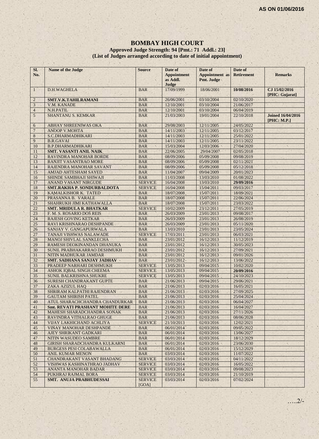#### **BOMBAY HIGH COURT**

#### **Approved Judge Strength: 94 [Pmt.: 71 Addl.: 23] (List of Judges arranged according to date of initial appointment)**

| SI.<br>No.     | Name of the Judge                       | <b>Source</b>           | Date of<br><b>Appointment</b><br>as Addl.<br>Judge | Date of<br><b>Appointment</b> as<br>Pmt. Judge | Date of<br><b>Retirement</b> | <b>Remarks</b>                          |
|----------------|-----------------------------------------|-------------------------|----------------------------------------------------|------------------------------------------------|------------------------------|-----------------------------------------|
| $\mathbf{1}$   | D.H.WAGHELA                             | <b>BAR</b>              | 17/09/1999                                         | 18/06/2001                                     | 10/08/2016                   | CJ 15/02/2016<br>[PHC: Gujarat]         |
| $\overline{2}$ | SMT.V.K.TAHILRAMANI                     | <b>BAR</b>              | 26/06/2001                                         | 03/10/2004                                     | 02/10/2020                   |                                         |
| $\mathfrak{Z}$ | V.M. KANADE                             | <b>BAR</b>              | 12/10/2001                                         | 03/10/2004                                     | 21/06/2017                   |                                         |
| $\overline{4}$ | N.H.PATIL                               | <b>BAR</b>              | 12/10/2001                                         | 03/10/2004                                     | 06/04/2019                   |                                         |
| 5              | SHANTANU S. KEMKAR                      | <b>BAR</b>              | 21/03/2003                                         | 19/01/2004                                     | 22/10/2018                   | <b>Joined 16/04/2016</b><br>[PHC: M.P.] |
| 6              | <b>ABHAY SHREENIWAS OKA</b>             | <b>BAR</b>              | 29/08/2003                                         | 12/11/2005                                     | 24/05/2022                   |                                         |
| $\overline{7}$ | <b>ANOOP V.MOHTA</b>                    | <b>BAR</b>              | 14/11/2003                                         | 12/11/2005                                     | 03/12/2017                   |                                         |
| 8              | S.C.DHARMADHIKARI                       | <b>BAR</b>              | 14/11/2003                                         | 12/11/2005                                     | 25/01/2022                   |                                         |
| 9              | <b>B.R.GAVAI</b>                        | <b>BAR</b>              | 14/11/2003                                         | 12/11/2005                                     | 23/11/2022                   |                                         |
| 10             | <b>B.P.DHARMADHIKARI</b>                | <b>BAR</b>              | 15/03/2004                                         | 12/03/2006                                     | 27/04/2020                   |                                         |
| 11             | <b>SMT. VASANTI ANIL NAIK</b>           | <b>BAR</b>              | 22/06/2005                                         | 29/04/2007                                     | 02/05/2018                   |                                         |
| 12             | RAVINDRA MANOHAR BORDE                  | <b>BAR</b>              | 08/09/2006                                         | 05/09/2008                                     | 09/08/2019                   |                                         |
| 13             | <b>RANJIT VASANTRAO MORE</b>            | <b>BAR</b>              | 08/09/2006                                         | 05/09/2008                                     | 02/11/2021                   |                                         |
| 14             | RAJENDRA MANOHAR SAVANT                 | <b>BAR</b>              | 08/09/2006                                         | 05/09/2008                                     | 05/12/2018                   |                                         |
| 15             | <b>AMJAD AHTESHAM SAYED</b>             | <b>BAR</b>              | 11/04/2007                                         | 09/04/2009                                     | 20/01/2023                   |                                         |
| 16             | SHINDE SAMBHAJI SHIWAJI                 | <b>BAR</b>              | 11/03/2008                                         | 13/03/2010                                     | 01/08/2022                   |                                         |
| 17             | <b>ANAND VASANT NIRGUDE</b>             | <b>SERVICE</b>          | 16/04/2008                                         | 13/03/2010                                     | 29/09/2016                   |                                         |
| 18             | <b>SMT.RAKHA P. SONDURBALDOTA</b>       | <b>SERVICE</b>          | 16/04/2008                                         | 15/04/2011                                     | 09/03/2017                   |                                         |
| 19             | KAMALKISHOR K. TATED                    | <b>BAR</b>              | 18/07/2008                                         | 15/07/2011                                     | 18/09/2021                   |                                         |
| 20             | PRASANNA B. VARALE                      | <b>BAR</b>              | 18/07/2008                                         | 15/07/2011                                     | 22/06/2024                   |                                         |
| 21             | SHAHRUKH JIMI KATHAWALLA                | <b>BAR</b>              | 18/07/2008                                         | 15/07/2011                                     | 23/03/2022                   |                                         |
| 22             | <b>SMT. MRIDULA R. BHATKAR</b>          | <b>SERVICE</b>          | 10/02/2009                                         | 23/12/2011                                     | 27/05/2019                   |                                         |
| 23             | F. M. S. ROSARIO DOS REIS               | <b>BAR</b>              | 26/03/2009                                         | 23/01/2013                                     | 09/08/2017                   |                                         |
| 24             | <b>RAJESH GOVING KETKAR</b>             | <b>BAR</b>              | 26/03/2009                                         | 23/01/2013                                     | 26/08/2019                   |                                         |
| 25             | RAVI KRISHNARAO DESHPANDE               | <b>BAR</b>              | 26/03/2009                                         | 23/01/2013                                     | 05/11/2020                   |                                         |
| 26             | SANJAY V. GANGAPURWALA                  | <b>BAR</b>              | 13/03/2010                                         | 23/01/2013                                     | 23/05/2024                   |                                         |
| 27             | TANAJI VISHWAS NALAWADE                 | <b>SERVICE</b>          | 17/03/2011                                         | 23/01/2013                                     | 06/03/2021                   |                                         |
| 28             | MANOJ SHIVLAL SANKLECHA                 | <b>BAR</b>              | 23/01/2012                                         | 16/12/2013                                     | 11/12/2019                   |                                         |
| 29             | RAMESH DEOKINANDAN DHANUKA              | <b>BAR</b>              | 23/01/2012                                         | 16/12/2013                                     | 30/05/2023                   |                                         |
| 30             | SUNIL PRABHAKARRAO DESHMUKH             | <b>BAR</b>              | 23/01/2012                                         | 16/12/2013                                     | 27/09/2021                   |                                         |
| 31             | NITIN MADHUKAR JAMDAR                   | <b>BAR</b>              | 23/01/2012                                         | 16/12/2013                                     | 09/01/2026                   |                                         |
| 32             | <b>SMT. SADHANA SANJAY JADHAV</b>       | <b>BAR</b>              | 23/01/2012                                         | 16/12/2013                                     | 13/06/2022                   |                                         |
| 33             | PRADEEP NARHARI DESHMUKH                | <b>SERVICE</b>          | 13/05/2013                                         | 09/04/2015                                     | 10/02/2020                   |                                         |
| 34             | ASHOK IQBAL SINGH CHEEMA                | <b>SERVICE</b>          | 13/05/2013                                         | 09/04/2015                                     | 20/09/2016                   |                                         |
| 35             | <b>SUNIL BALKRISHNA SHUKRE</b>          | <b>SERVICE</b>          | 13/05/2013                                         | 09/04/2015                                     | 24/10/2023                   |                                         |
| 36             | SURESH CHANDRAKANT GUPTE                | <b>BAR</b>              | 21/06/2013                                         | 09/04/2015                                     | 29/06/2021                   |                                         |
| 37             | ZAKA AZIZUL HAQ                         | <b>BAR</b>              | 21/06/2013                                         | 02/03/2016                                     | 16/05/2021                   |                                         |
| 38             | SHRIRAM KALPATHI RAJENDRAN              | <b>BAR</b>              | 21/06/2013                                         | 02/03/2016                                     | 27/09/2025                   |                                         |
| 39             | <b>GAUTAM SHIRISH PATEL</b>             | <b>BAR</b>              | 21/06/2013                                         | 02/03/2016                                     | 25/04/2024                   |                                         |
| 40             | ATUL SHARACHCHANDRA CHANDURKAR          | <b>BAR</b>              | 21/06/2013                                         | 02/03/2016                                     | 06/04/2027                   |                                         |
| 41             | <b>Smt. REVATI PRASHANT MOHITE DERE</b> | <b>BAR</b>              | 21/06/2013                                         | 02/03/2016                                     | 16/04/2027                   |                                         |
| 42             | MAHESH SHARADCHANDRA SONAK              | <b>BAR</b>              | 21/06/2013                                         | 02/03/2016                                     | 27/11/2026                   |                                         |
| 43             | RAVINDRA VITHALRAO GHUGE                | <b>BAR</b>              | 21/06/2013                                         | 02/03/2016                                     | 08/06/2028                   |                                         |
| 44             | VIJAY LAKHICHAND ACHLIYA                | <b>SERVICE</b>          | 21/10/2013                                         | 02/03/2016                                     | 12/02/2021                   |                                         |
| 45             | VINAY MANOHAR DESHPANDE                 | <b>BAR</b>              | 06/01/2014                                         | 02/03/2016                                     | 09/05/2022                   |                                         |
| 46             | AJEY SHRIKANT GADKARI                   | <b>BAR</b>              | 06/01/2014                                         | 02/03/2016                                     | 13/06/2027                   |                                         |
| 47             | NITIN WASUDEO SAMBRE                    | <b>BAR</b>              | 06/01/2014                                         | 02/03/2016                                     | 18/12/2029                   |                                         |
| 48             | GIRISH SHARADCHANDRA KULKARNI           | <b>BAR</b>              | 06/01/2014                                         | 02/03/2016                                     | 23/06/2030                   |                                         |
| 49             | <b>BURGESS PESI COLABAWALLA</b>         | <b>BAR</b>              | 06/01/2014                                         | 02/03/2016                                     | 15/12/2029                   |                                         |
| 50             | <b>ANIL KUMAR MENON</b>                 | <b>BAR</b>              | 03/03/2014                                         | 02/03/2016                                     | 11/07/2022                   |                                         |
| 51             | <b>CHANDRAKANT VASANT BHADANG</b>       | <b>SERVICE</b>          | 03/03/2014                                         | 02/03/2016                                     | 04/11/2022                   |                                         |
| 52             | VISHWAS KASHINATHRAO JADHAV             | <b>SERVICE</b>          | 03/03/2014                                         | 02/03/2016                                     | 16/05/2022                   |                                         |
| 53             | ANANTA MANOHAR BADAR                    | <b>SERVICE</b>          | 03/03/2014                                         | 02/03/2016                                     | 09/08/2023                   |                                         |
| 54             | PUKHRAJ RAJMAL BORA                     | <b>SERVICE</b>          | 03/03/2014                                         | 02/03/2016                                     | 21/10/2019                   |                                         |
| 55             | SMT. ANUJA PRABHUDESSAI                 | <b>SERVICE</b><br>[GOA] | 03/03/2014                                         | 02/03/2016                                     | 07/02/2024                   |                                         |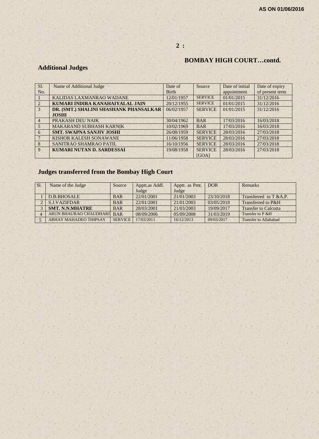# **2 :**

# **BOMBAY HIGH COURT…contd.**

# **Additional Judges**

| SI.             | Name of Additional Judge               | Date of      | Source         | Date of initial | Date of expiry  |
|-----------------|----------------------------------------|--------------|----------------|-----------------|-----------------|
| No.             |                                        | <b>Birth</b> |                | appointment     | of present term |
|                 | KALIDAS LAXMANRAO WADANE               | 12/01/1957   | <b>SERVICE</b> | 01/01/2015      | 31/12/2016      |
|                 | KUMARI INDIRA KANAHAIYALAL JAIN        | 20/12/1955   | <b>SERVICE</b> | 01/01/2015      | 31/12/2016      |
| 3               | DR. (SMT.) SHALINI SHASHANK PHANSALKAR | 06/02/1957   | <b>SERVICE</b> | 01/01/2015      | 31/12/2016      |
|                 | <b>JOSHI</b>                           |              |                |                 |                 |
| $\overline{4}$  | PRAKASH DEU NAIK                       | 30/04/1962   | <b>BAR</b>     | 17/03/2016      | 16/03/2018      |
| $5\overline{)}$ | <b>MAKARAND SUBHASH KARNIK</b>         | 10/02/1969   | <b>BAR</b>     | 17/03/2016      | 16/03/2018      |
| 6               | <b>SMT. SWAPNA SANJIV JOSHI</b>        | 26/08/1959   | <b>SERVICE</b> | 28/03/2016      | 27/03/2018      |
|                 | <b>KISHOR KALESH SONAWANE</b>          | 11/06/1958   | <b>SERVICE</b> | 28/03/2016      | 27/03/2018      |
| 8               | SANITRAO SHAMRAO PATIL                 | 16/10/1956   | <b>SERVICE</b> | 28/03/2016      | 27/03/2018      |
| 9               | <b>KUMARI NUTAN D. SARDESSAI</b>       | 19/08/1958   | <b>SERVICE</b> | 28/03/2016      | 27/03/2018      |
|                 |                                        |              | [GOA]          |                 |                 |

# **Judges transferred from the Bombay High Court**

| Sl. | Name of the Judge            | Source         | Apptt.as Addl. | Apptt. as Pmt. | <b>DOR</b> | Remarks                      |
|-----|------------------------------|----------------|----------------|----------------|------------|------------------------------|
|     |                              |                | Judge          | Judge          |            |                              |
|     | D.B.BHOSALE                  | <b>BAR</b>     | 22/01/2001     | 21/01/2003     | 23/10/2018 | Transferred to $T & A.P.$    |
|     | <b>S.J.VAZIFDAR</b>          | <b>BAR</b>     | 22/01/2001     | 21/01/2003     | 03/05/2018 | Transferred to P&H           |
|     | <b>SMT. N.N.MHATRE</b>       | <b>BAR</b>     | 28/03/2001     | 21/03/2003     | 19/09/2017 | <b>Transfer to Calcutta</b>  |
|     | ARUN BHAURAO CHAUDHARI       | <b>BAR</b>     | 08/09/2006     | 05/09/2008     | 31/03/2019 | Transfer to P & H            |
|     | <b>ABHAY MAHADEO THIPSAY</b> | <b>SERVICE</b> | 17/03/2011     | 16/12/2013     | 09/03/2017 | <b>Transfer to Allahabad</b> |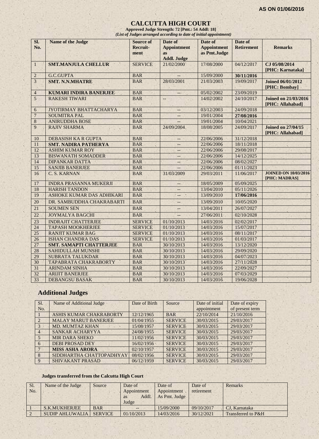#### **CALCUTTA HIGH COURT**

**Approved Judge Strength: 72 [Pmt.: 54 Addl: 18]** *(List of Judges arranged according to date of initial appointment)*

| SI.<br>No.      | <b>Name of the Judge</b>       | <b>Source of</b><br>Recruit-<br>ment | Date of<br><b>Appointment</b><br><b>as</b><br><b>Addl. Judge</b> | Date of<br><b>Appointment</b><br>as Pmt.Judge | Date of<br><b>Retirement</b> | <b>Remarks</b>                                  |
|-----------------|--------------------------------|--------------------------------------|------------------------------------------------------------------|-----------------------------------------------|------------------------------|-------------------------------------------------|
| $\mathbf{1}$    | <b>SMT.MANJULA CHELLUR</b>     | <b>SERVICE</b>                       | 21/02/2000                                                       | 17/08/2000                                    | 04/12/2017                   | CJ 05/08/2014<br>[PHC: Karnataka]               |
| $\overline{2}$  | G.C.GUPTA                      | <b>BAR</b>                           |                                                                  | 15/09/2000                                    | 30/11/2016                   |                                                 |
| $\overline{3}$  | <b>SMT. N.N.MHATRE</b>         | <b>BAR</b>                           | 28/03/2001                                                       | 21/03/2003                                    | 19/09/2017                   | <b>Joined 06/01/2012</b><br>[PHC: Bombay]       |
| $\overline{4}$  | <b>KUMARI INDIRA BANERJEE</b>  | <b>BAR</b>                           |                                                                  | 05/02/2002                                    | 23/09/2019                   |                                                 |
| 5               | <b>RAKESH TIWARI</b>           | <b>BAR</b>                           | L.                                                               | 14/02/2002                                    | 24/10/2017                   | <b>Joined on 21/03/2016</b><br>[PHC: Allahabad] |
| 6               | JYOTIRMAY BHATTACHARYA         | <b>BAR</b>                           | $\overline{\phantom{m}}$                                         | 03/12/2003                                    | 24/09/2018                   |                                                 |
| $\overline{7}$  | <b>SOUMITRA PAL</b>            | <b>BAR</b>                           |                                                                  | 19/01/2004                                    | 27/08/2016                   |                                                 |
| 8               | <b>ANIRUDDHA BOSE</b>          | <b>BAR</b>                           |                                                                  | 19/01/2004                                    | 10/04/2021                   |                                                 |
| 9               | <b>RAJIV SHARMA</b>            | <b>BAR</b>                           | 24/09/2004                                                       | 18/08/2005                                    | 24/09/2017                   | <b>Joined on 27/04/15</b><br>[PHC: Allahabad]   |
| 10              | <b>DEBASISH KA R GUPTA</b>     | <b>BAR</b>                           |                                                                  | 22/06/2006                                    | 31/12/2018                   |                                                 |
| 11              | <b>SMT. NADIRA PATHERYA</b>    | <b>BAR</b>                           | 44                                                               | 22/06/2006                                    | 18/11/2018                   |                                                 |
| 12              | <b>ASHIM KUMAR ROY</b>         | <b>BAR</b>                           | --                                                               | 22/06/2006                                    | 29/08/2017                   |                                                 |
| 13              | <b>BISWANATH SOMADDER</b>      | <b>BAR</b>                           | $\overline{\phantom{a}}$                                         | 22/06/2006                                    | 14/12/2025                   |                                                 |
| 14              | <b>DIPANKAR DATTA</b>          | <b>BAR</b>                           |                                                                  | 22/06/2006                                    | 08/02/2027                   |                                                 |
| 15              | <b>SANJIB BANERJEE</b>         | <b>BAR</b>                           |                                                                  | 22/06/2006                                    | 01/11/2023                   |                                                 |
| 16              | C. S. KARNAN                   | <b>BAR</b>                           | 31/03/2009                                                       | 29/03/2011                                    | 11/06/2017                   | <b>JOINED ON 10/03/2016</b><br>[PHC: MADRAS]    |
| 17              | <b>INDRA PRASANNA MUKERJI</b>  | <b>BAR</b>                           | $-$                                                              | 18/05/2009                                    | 05/09/2025                   |                                                 |
| 18              | <b>HARISH TANDON</b>           | <b>BAR</b>                           | $-$                                                              | 13/04/2010                                    | 05/11/2026                   |                                                 |
| 19              | ASHOKE KUMAR DAS ADHIKARI      | <b>BAR</b>                           | $--$                                                             | 13/09/2010                                    | 17/06/2016                   |                                                 |
| 20              | DR. SAMBUDDHA CHAKRABARTI      | <b>BAR</b>                           | $-$                                                              | 13/09/2010                                    | 10/05/2020                   |                                                 |
| 21              | <b>SOUMEN SEN</b>              | <b>BAR</b>                           | $\overline{a}$                                                   | 13/04/2011                                    | 26/07/2027                   |                                                 |
| $\overline{22}$ | <b>JOYMALYA BAGCHI</b>         | <b>BAR</b>                           | $-$                                                              | 27/06/2011                                    | 02/10/2028                   |                                                 |
| $\overline{23}$ | <b>INDRAJIT CHATTERJEE</b>     | <b>SERVICE</b>                       | 01/10/2013                                                       | 14/03/2016                                    | 02/02/2017                   |                                                 |
| 24              | <b>TAPASH MOOKHERJEE</b>       | <b>SERVICE</b>                       | 01/10/2013                                                       | 14/03/2016                                    | 15/07/2017                   |                                                 |
| 25              | <b>RANJIT KUMAR BAG</b>        | <b>SERVICE</b>                       | 01/10/2013                                                       | 14/03/2016                                    | 08/11/2017                   |                                                 |
| $\overline{26}$ | <b>ISHAN CHANDRA DAS</b>       | <b>SERVICE</b>                       | 01/10/2013                                                       | 14/03/2016                                    | 01/03/2017                   |                                                 |
| $\overline{27}$ | <b>SMT. SAMAPTI CHATTERJEE</b> | <b>BAR</b>                           | 30/10/2013                                                       | 14/03/2016                                    | 13/12/2020                   |                                                 |
| 28              | <b>SAHIDULLAH MUNSHI</b>       | <b>BAR</b>                           | 30/10/2013                                                       | 14/03/2016                                    | 29/09/2020                   |                                                 |
| 29              | <b>SUBRATA TALUKDAR</b>        | <b>BAR</b>                           | 30/10/2013                                                       | 14/03/2016                                    | 04/07/2023                   |                                                 |
| 30              | TAPABRATA CHAKRABORTY          | <b>BAR</b>                           | 30/10/2013                                                       | 14/03/2016                                    | 27/11/2028                   |                                                 |
| 31              | <b>ARINDAM SINHA</b>           | <b>BAR</b>                           | 30/10/2013                                                       | 14/03/2016                                    | 22/09/2027                   |                                                 |
| 32              | <b>ARIJIT BANERJEE</b>         | <b>BAR</b>                           | 30/10/2013                                                       | 14/03/2016                                    | 07/03/2029                   |                                                 |
| 33              | <b>DEBANGSU BASAK</b>          | <b>BAR</b>                           | 30/10/2013                                                       | 14/03/2016                                    | 19/06/2028                   |                                                 |

# **Additional Judges**

| Sl.            | Name of Additional Judge    | Date of Birth | Source         | Date of initial | Date of expiry  |
|----------------|-----------------------------|---------------|----------------|-----------------|-----------------|
| No.            |                             |               |                | appointment     | of present term |
|                | ASHIS KUMAR CHAKRABORTY     | 12/12/1965    | <b>BAR</b>     | 22/10/2014      | 21/10/2016      |
|                | <b>MALAY MARUT BANERJEE</b> | 01/04/1955    | <b>SERVICE</b> | 30/03/2015      | 29/03/2017      |
| $\mathcal{R}$  | <b>MD. MUMTAZ KHAN</b>      | 15/08/1957    | <b>SERVICE</b> | 30/03/2015      | 29/03/2017      |
| $\overline{4}$ | <b>SANKAR ACHARYYA</b>      | 24/08/1955    | <b>SERVICE</b> | 30/03/2015      | 29/03/2017      |
| $\sqrt{2}$     | <b>MIR DARA SHEKO</b>       | 11/02/1956    | <b>SERVICE</b> | 30/03/2015      | 29/03/2017      |
| 6              | <b>DEBI PROSAD DEY</b>      | 16/02/1956    | <b>SERVICE</b> | 30/03/2015      | 29/03/2017      |
|                | <b>MISS ASHA ARORA</b>      | 02/10/1957    | <b>SERVICE</b> | 30/03/2015      | 29/03/2017      |
| 8              | SIDDHARTHA CHATTOPADHYAY    | 08/02/1956    | <b>SERVICE</b> | 30/03/2015      | 29/03/2017      |
| $\mathbf{Q}$   | <b>SHIVAKANT PRASAD</b>     | 06/12/1959    | <b>SERVICE</b> | 30/03/2015      | 29/03/2017      |

# **Judges transferred from the Calcutta High Court**

| Sl. | Name of the Judge      | Source         | Date of            | Date of       | Date of    | Remarks            |
|-----|------------------------|----------------|--------------------|---------------|------------|--------------------|
| No. |                        |                | Appointment        | Appointment   | retirement |                    |
|     |                        |                | Addl.<br><b>as</b> | As Pmt. Judge |            |                    |
|     |                        |                | Judge              |               |            |                    |
|     | S.K.MUKHERJEE          | <b>BAR</b>     | --                 | 15/09/2000    | 09/10/2017 | CJ. Karnataka      |
|     | <b>SUDIP AHLUWALIA</b> | <b>SERVICE</b> | 01/10/2013         | 14/03/2016    | 30/12/2021 | Transferred to P&H |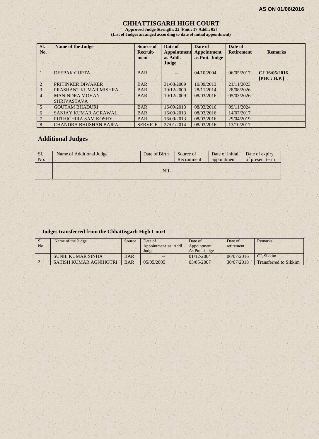#### **CHHATTISGARH HIGH COURT**

**Approved Judge Strength: 22 [Pmt.: 17 Addl.: 05] (List of Judges arranged according to date of initial appointment)**

| Sl.<br>No.     | <b>Name of the Judge</b>                    | Source of<br>Recruit-<br>ment | Date of<br><b>Appointment</b><br>as Addl.<br>Judge | Date of<br><b>Appointment</b><br>as Pmt. Judge | Date of<br><b>Retirement</b> | <b>Remarks</b>               |
|----------------|---------------------------------------------|-------------------------------|----------------------------------------------------|------------------------------------------------|------------------------------|------------------------------|
|                | <b>DEEPAK GUPTA</b>                         | <b>BAR</b>                    |                                                    | 04/10/2004                                     | 06/05/2017                   | CJ 16/05/2016<br>[PHC: H.P.] |
| $\overline{2}$ | PRITINKER DIWAKER                           | <b>BAR</b>                    | 31/03/2009                                         | 10/09/2013                                     | 21/11/2023                   |                              |
| 3              | PRASHANT KUMAR MISHRA                       | <b>BAR</b>                    | 10/12/2009                                         | 28/11/2014                                     | 28/08/2026                   |                              |
| $\overline{4}$ | <b>MANINDRA MOHAN</b><br><b>SHRIVASTAVA</b> | <b>BAR</b>                    | 10/12/2009                                         | 08/03/2016                                     | 05/03/2026                   |                              |
| $\overline{5}$ | <b>GOUTAM BHADURI</b>                       | <b>BAR</b>                    | 16/09/2013                                         | 08/03/2016                                     | 09/11/2024                   |                              |
| 6              | SANJAY KUMAR AGRAWAL                        | <b>BAR</b>                    | 16/09/2013                                         | 08/03/2016                                     | 14/07/2017                   |                              |
|                | PUTHICHIRA SAM KOSHY                        | <b>BAR</b>                    | 16/09/2013                                         | 08/03/2016                                     | 29/04/2019                   |                              |
| 8              | <b>CHANDRA BHUSHAN BAJPAI</b>               | <b>SERVICE</b>                | 27/01/2014                                         | 08/03/2016                                     | 13/10/2017                   |                              |

# **Additional Judges**

| Sl.<br>No. | Name of Additional Judge | Date of Birth | Source of<br>Recruitment | Date of initial<br>appointment | Date of expiry<br>of present term |
|------------|--------------------------|---------------|--------------------------|--------------------------------|-----------------------------------|
|            |                          | <b>NIL</b>    |                          |                                |                                   |

#### **Judges transferred from the Chhattisgarh High Court**

| Sl.<br>No. | Name of the Judge      | Source     | Date of<br>Appointment as Addl.<br>Judge | Date of<br>Appointment<br>As Pmt. Judge | Date of<br>retirement | Remarks               |
|------------|------------------------|------------|------------------------------------------|-----------------------------------------|-----------------------|-----------------------|
|            | SUNIL KUMAR SINHA      | <b>BAR</b> | $- -$                                    | 01/12/2004                              | 06/07/2016            | CJ. Sikkim            |
|            | SATISH KUMAR AGNIHOTRI | <b>BAR</b> | 05/05/2005                               | 03/05/2007                              | 30/07/2018            | Transferred to Sikkim |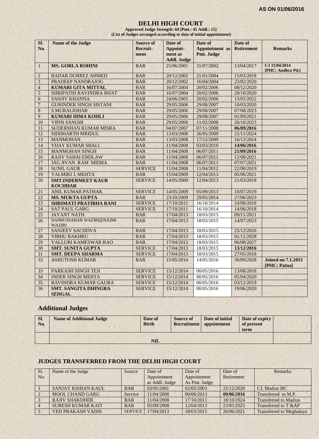#### **DELHI HIGH COURT**

**Approved Judge Strength: 60 [Pmt.: 45 Addl.: 15] (List of Judges arranged according to date of initial appointment)**

| SI.<br>No.              | <b>Name of the Judge</b>                     | <b>Source of</b><br>Recruit- | Date of<br>Appoint-           | Date of<br><b>Appointment</b> as | Date of<br><b>Retirement</b> | <b>Remarks</b>                            |
|-------------------------|----------------------------------------------|------------------------------|-------------------------------|----------------------------------|------------------------------|-------------------------------------------|
|                         |                                              | ment                         | ment as<br><b>Addl. Judge</b> | Pmt. Judge                       |                              |                                           |
| $\mathbf{1}$            | <b>MS. GORLA ROHINI</b>                      | <b>BAR</b>                   | 25/06/2001                    | 31/07/2002                       | 13/04/2017                   | CJ 21/04/2014<br>[PHC: Andhra Pd.]        |
| $\overline{2}$          | <b>BADAR DURREZ AHMED</b>                    | <b>BAR</b>                   | 20/12/2002                    | 21/01/2004                       | 15/03/2018                   |                                           |
| $\overline{\mathbf{3}}$ | PRADEEP NANDRAJOG                            | <b>BAR</b>                   | 20/12/2002                    | 16/04/2004                       | 23/02/2020                   |                                           |
| $\overline{4}$          | <b>KUMARI GITA MITTAL</b>                    | <b>BAR</b>                   | 16/07/2004                    | 20/02/2006                       | 08/12/2020                   |                                           |
| 5                       | SHRIPATHI RAVINDRA BHAT                      | <b>BAR</b>                   | 16/07/2004                    | 20/02/2006                       | 20/10/2020                   |                                           |
| 6                       | <b>SANJIV KHANNA</b>                         | <b>BAR</b>                   | 24/06/2005                    | 20/02/2006                       | 13/05/2022                   |                                           |
| $\overline{7}$          | <b>GURINDER SINGH SISTANI</b>                | <b>BAR</b>                   | 29/05/2006                    | 29/08/2007                       | 10/03/2020                   |                                           |
| 8                       | <b>S.MURALIDHAR</b>                          | <b>BAR</b>                   | 29/05/2006                    | 29/08/2007                       | 07/08/2023                   |                                           |
| 9                       | <b>KUMARI HIMA KOHLI</b>                     | <b>BAR</b>                   | 29/05/2006                    | 29/08/2007                       | 01/09/2021                   |                                           |
| 10                      | <b>VIPIN SANGHI</b>                          | <b>BAR</b>                   | 29/05/2006                    | 11/02/2008                       | 26/10/2023                   |                                           |
| 11                      | SUDERSHAN KUMAR MISRA                        | <b>BAR</b>                   | 04/07/2007                    | 07/11/2008                       | 06/09/2016                   |                                           |
| 12                      | SIDDHARTH MRIDUL                             | <b>BAR</b>                   | 13/03/2008                    | 26/05/2009                       | 21/11/2024                   |                                           |
| 13                      | <b>MANMOHAN</b>                              | <b>BAR</b>                   | 13/03/2008                    | 17/12/2009                       | 16/12/2024                   |                                           |
| 14                      | <b>VIJAY KUMAR SHALI</b>                     | <b>BAR</b>                   | 11/04/2008                    | 03/03/2010                       | 14/06/2016                   |                                           |
| 15                      | <b>MANMOHAN SINGH</b>                        | <b>BAR</b>                   | 11/04/2008                    | 06/07/2011                       | 21/09/2016                   |                                           |
| 16                      | <b>RAJIV SAHAI ENDLAW</b>                    | <b>BAR</b>                   | 11/04/2008                    | 06/07/2011                       | 12/08/2021                   |                                           |
| 17                      | <b>JAG JIVAN RAM MIDHA</b>                   | <b>BAR</b>                   | 11/04/2008                    | 06/07/2011                       | 07/07/2021                   |                                           |
| 18                      | <b>SUNIL GAUR</b>                            | <b>SERVICE</b>               | 11/04/2008                    | 11/04/2012                       | 22/08/2019                   |                                           |
| 19                      | VALMIKI J. MEHTA                             | <b>BAR</b>                   | 15/04/2009                    | 12/04/2013                       | 05/06/2021                   |                                           |
| 20                      | <b>SMT.INDERMEET KAUR</b><br><b>KOCHHAR</b>  | <b>SERVICE</b>               | 14/05/2009                    | 12/04/2013                       | 21/03/2018                   |                                           |
| 21                      | <b>ANIL KUMAR PATHAK</b>                     | <b>SERVICE</b>               | 14/05/2009                    | 05/09/2013                       | 10/07/2019                   |                                           |
| 22                      | <b>MS. MUKTA GUPTA</b>                       | <b>BAR</b>                   | 23/10/2009                    | 29/05/2014                       | 27/06/2023                   |                                           |
| 23                      | <b>SHRIMATI PRATIBHA RANI</b>                | <b>SERVICE</b>               | 17/10/2011                    | 16/10/2014                       | 24/08/2018                   |                                           |
| 24                      | <b>SAT PAUL GARG</b>                         | <b>SERVICE</b>               | 17/10/2011                    | 16/10/2014                       | 14/06/2018                   |                                           |
| 25                      | <b>JAYANT NATH</b>                           | <b>BAR</b>                   | 17/04/2013                    | 18/03/2015                       | 09/11/2021                   |                                           |
| 26                      | NAJMUSSAHAR WAZIRI@NAJMI<br><b>WAZIRI</b>    | <b>BAR</b>                   | 17/04/2013                    | 18/03/2015                       | 14/07/2023                   |                                           |
| 27                      | <b>SANJEEV SACHDVA</b>                       | <b>BAR</b>                   | 17/04/2013                    | 18/03/2015                       | 25/12/2026                   |                                           |
| 28                      | <b>VIBHU BAKHRU</b>                          | <b>BAR</b>                   | 17/04/2013                    | 18/03/2015                       | 01/11/2028                   |                                           |
| 29                      | <b>VALLURI KAMESWAR RAO</b>                  | <b>BAR</b>                   | 17/04/2013                    | 18/03/2015                       | 06/08/2027                   |                                           |
| 30                      | <b>SMT. SUNITA GUPTA</b>                     | <b>SERVICE</b>               | 17/04/2013                    | 18/03/2015                       | 13/12/2016                   |                                           |
| 31                      | <b>SMT. DEEPA SHARMA</b>                     | <b>SERVICE</b>               | 17/04/2013                    | 18/03/2015                       | 27/05/2018                   |                                           |
| 32                      | <b>ASHUTOSH KUMAR</b>                        | <b>BAR</b>                   | 15/05/2014                    | 14/05/2016                       | 30/09/2028                   | <b>Joined on 7.1.2015</b><br>[PHC: Patna] |
| 33                      | PARKASH SINGH TEJI                           | <b>SERVICE</b>               | 15/12/2014                    | 00/05/2016                       | 13/08/2018                   |                                           |
| 34                      | <b>INDER SINGH MEHTA</b>                     | <b>SERVICE</b>               | 15/12/2014                    | 00/05/2016                       | 05/04/2020                   |                                           |
| 35                      | RAVINDRA KUMAR GAUBA                         | <b>SERVICE</b>               | 15/12/2014                    | 00/05/2016                       | 03/12/2019                   |                                           |
| 36                      | <b>SMT. SANGITA DHINGRA</b><br><b>SEHGAL</b> | <b>SERVICE</b>               | 15/12/2014                    | 00/05/2016                       | 19/06/2020                   |                                           |

# **Additional Judges**

| SI.<br>No. | <b>Name of Additional Judge</b> | Date of<br><b>Birth</b> | <b>Source of</b> | Date of initial<br>Recruitment   appointment | Date of expiry<br>of present<br>term |  |
|------------|---------------------------------|-------------------------|------------------|----------------------------------------------|--------------------------------------|--|
|            |                                 | $\bf NIL$               |                  |                                              |                                      |  |

#### **JUDGES TRANSFERRED FROM THE DELHI HIGH COURT**

| <b>SI.</b>     | Name of the Judge        | Source         | Date of        | Date of       | Date of    | <b>Remarks</b>                  |
|----------------|--------------------------|----------------|----------------|---------------|------------|---------------------------------|
| No.            |                          |                | Appointment    | Appointment   | Retirement |                                 |
|                |                          |                | as Addl. Judge | As Pmt. Judge |            |                                 |
|                | SANJAY KISHAN KAUL       | <b>BAR</b>     | 03/05/2001     | 02/05/2003    | 25/12/2020 | CJ, Madras HC                   |
| $\overline{2}$ | <b>MOOL CHAND GARG</b>   | Service        | 11/04/2008     | 00/06/2013    | 09/06/2016 | Transferred to M.P.             |
|                | <b>RAJIV SHAKDHER</b>    | <b>BAR</b>     | 11/04/2008     | 17/10/2011    | 18/10/2024 | <b>Transferred to Madras</b>    |
|                | <b>SURESH KUMAR KAIT</b> | <b>BAR</b>     | 05/09/2008     | 12/04/2013    | 23/05/2025 | Transferred to T &AP            |
|                | <b>VED PRAKASH VAISH</b> | <b>SERVICE</b> | 17/04/2013     | 18/03/2015    | 26/06/2021 | <b>Transferred to Meghalaya</b> |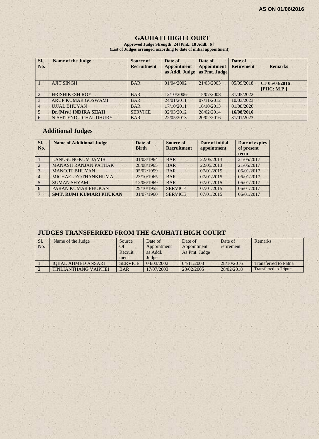$1.18$ 

#### **GAUHATI HIGH COURT**

**Approved Judge Strength: 24 [Pmt.: 18 Addl.: 6 ] (List of Judges arranged according to date of initial appointment)**

| SI.<br>No.     | <b>Name of the Judge</b>  | Source of<br><b>Recruitment</b> | Date of<br><b>Appointment</b><br>as Addl. Judge | Date of<br><b>Appointment</b><br>as Pmt. Judge | Date of<br><b>Retirement</b> | <b>Remarks</b>               |
|----------------|---------------------------|---------------------------------|-------------------------------------------------|------------------------------------------------|------------------------------|------------------------------|
|                | <b>AJIT SINGH</b>         | <b>BAR</b>                      | 01/04/2002                                      | 21/03/2003                                     | 05/09/2018                   | CJ 05/03/2016<br>[PHC: M.P.] |
| $\overline{2}$ | <b>HRISHIKESH ROY</b>     | <b>BAR</b>                      | 12/10/2006                                      | 15/07/2008                                     | 31/05/2022                   |                              |
| $\overline{3}$ | <b>ARUP KUMAR GOSWAMI</b> | <b>BAR</b>                      | 24/01/2011                                      | 07/11/2012                                     | 10/03/2023                   |                              |
| 4 <sup>°</sup> | <b>UJJAL BHUYAN</b>       | <b>BAR</b>                      | 17/10/2011                                      | 16/10/2013                                     | 01/08/2026                   |                              |
| 5              | Dr.(Mrs.) INDIRA SHAH     | <b>SERVICE</b>                  | 02/03/2012                                      | 28/02/2014                                     | 16/08/2016                   |                              |
| 6              | NISHITENDU CHAUDHURY      | <b>BAR</b>                      | 22/05/2013                                      | 20/02/2016                                     | 31/01/2023                   |                              |

 $x + x$ 

# **Additional Judges**

| Sl.<br>No.      | <b>Name of Additional Judge</b> | Date of<br><b>Birth</b> | Source of<br><b>Recruitment</b> | Date of initial<br>appointment | Date of expiry<br>of present<br>term |
|-----------------|---------------------------------|-------------------------|---------------------------------|--------------------------------|--------------------------------------|
|                 | <b>LANUSUNGKUM JAMIR</b>        | 01/03/1964              | <b>BAR</b>                      | 22/05/2013                     | 21/05/2017                           |
| 2.              | <b>MANASH RANJAN PATHAK</b>     | 28/08/1965              | <b>BAR</b>                      | 22/05/2013                     | 21/05/2017                           |
| 3               | <b>MANOJIT BHUYAN</b>           | 05/02/1959              | <b>BAR</b>                      | 07/01/2015                     | 06/01/2017                           |
| $\overline{4}$  | MICHAEL ZOTHANKHUMA             | 23/10/1965              | <b>BAR</b>                      | 07/01/2015                     | 06/01/2017                           |
|                 | <b>SUMAN SHYAM</b>              | 12/06/1969              | <b>BAR</b>                      | 07/01/2015                     | 06/01/2017                           |
| 6               | PARAN KUMAR PHUKAN              | 29/10/1955              | <b>SERVICE</b>                  | 07/01/2015                     | 06/01/2017                           |
| $7\phantom{.0}$ | <b>SMT. RUMI KUMARI PHUKAN</b>  | 01/07/1960              | <b>SERVICE</b>                  | 07/01/2015                     | 06/01/2017                           |

# **JUDGES TRANSFERRED FROM THE GAUHATI HIGH COURT**

 $1.1.5$ 

| Sl.<br>No. | Name of the Judge           | Source<br>Of<br>Recruit<br>ment | Date of<br>Appointment<br>as Addl.<br>Judge | Date of<br>Appointment<br>As Pmt. Judge | Date of<br>retirement | <b>Remarks</b>                |
|------------|-----------------------------|---------------------------------|---------------------------------------------|-----------------------------------------|-----------------------|-------------------------------|
|            | <b>IOBAL AHMED ANSARI</b>   | <b>SERVICE</b>                  | 04/03/2002                                  | 04/11/2003                              | 28/10/2016            | <b>Transferred to Patna</b>   |
|            | <b>TINLIANTHANG VAIPHEI</b> | <b>BAR</b>                      | 17/07/2003                                  | 28/02/2005                              | 28/02/2018            | <b>Transferred to Tripura</b> |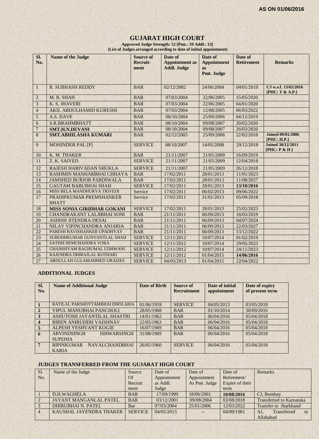#### **GUJARAT HIGH COURT**

**Approved Judge Strength: 52 [Pmt.: 39 Addl.: 13] (List of Judges arranged according to date of initial appointment)**

| SI.<br>No.      | <b>Name of the Judge</b>                | <b>Source of</b><br>Recruit-<br>ment | Date of<br><b>Appointment</b> as<br><b>Addl. Judge</b> | Date of<br><b>Appointment</b><br><b>as</b> | Date of<br><b>Retirement</b> | <b>Remarks</b>                             |
|-----------------|-----------------------------------------|--------------------------------------|--------------------------------------------------------|--------------------------------------------|------------------------------|--------------------------------------------|
|                 |                                         |                                      |                                                        | Pmt. Judge                                 |                              |                                            |
| $\mathbf{1}$    | <b>R. SUBHASH REDDY</b>                 | <b>BAR</b>                           | 02/12/2002                                             | 24/06/2004                                 | 04/01/2019                   | CJ w.e.f. 13/02/2016<br>[PHC: $T & A.P.$ ] |
| $\overline{2}$  | M. R. SHAH                              | <b>BAR</b>                           | 07/03/2004                                             | 22/06/2005                                 | 15/05/2020                   |                                            |
| 3               | K. S. JHAVERI                           | <b>BAR</b>                           | 07/03/2004                                             | 22/06/2005                                 | 04/01/2020                   |                                            |
| $\overline{4}$  | AKIL ABDULHAMID KURESHI                 | <b>BAR</b>                           | 07/03/2004                                             | 12/08/2005                                 | 06/03/2022                   |                                            |
| 5               | A.S. DAVE                               | <b>BAR</b>                           | 08/10/2004                                             | 25/09/2006                                 | 04/12/2019                   |                                            |
| $\sqrt{6}$      | <b>S.R.BRAHMBHATT</b>                   | <b>BAR</b>                           | 08/10/2004                                             | 09/08/2007                                 | 20/02/2020                   |                                            |
| $\overline{7}$  | <b>SMT.H.N.DEVANI</b>                   | <b>BAR</b>                           | 08/10/2004                                             | 09/08/2007                                 | 26/03/2020                   |                                            |
| $\,8\,$         | <b>SMT.ABHILASHA KUMARI</b>             | <b>BAR</b>                           | 02/12/2005                                             | 25/09/2006                                 | 22/02/2018                   | <b>Joined 09/01/2006</b><br>[PHC: H.P.]    |
| 9               | <b>MOHINDER PAL [P]</b>                 | <b>SERVICE</b>                       | 08/10/2007                                             | 14/05/2008                                 | 29/12/2018                   | <b>Joined 30/12/2011</b><br>[PHC: P & H]   |
| 10              | K. M. THAKER                            | <b>BAR</b>                           | 21/11/2007                                             | 21/05/2009                                 | 16/09/2019                   |                                            |
| 11              | Z. K. SAIYED                            | <b>SERVICE</b>                       | 21/11/2007                                             | 21/05/2009                                 | 12/04/2018                   |                                            |
| 12              | RAJESH HARIVADAN SHUKLA                 | <b>SERVICE</b>                       | 21/11/2007                                             | 21/05/2009                                 | 26/12/2018                   |                                            |
| 13              | RASHMIN MANHARBHAI CHHAYA               | <b>BAR</b>                           | 17/02/2011                                             | 28/01/2013                                 | 11/01/2023                   |                                            |
| 14              | <b>JAMSHED BURJOR PARDIWALA</b>         | <b>BAR</b>                           | 17/02/2011                                             | 28/01/2013                                 | 11/08/2027                   |                                            |
| 15              | <b>GAUTAM BABUBHAI SHAH</b>             | <b>SERVICE</b>                       | 17/02/2011                                             | 28/01/2013                                 | 13/10/2016                   |                                            |
| 16              | MISS BELA MANDHURYA TRIVEDI             | Service                              | 17/02/2011                                             | 06/02/2013                                 | 09/06/2022                   |                                            |
| 17              | PRADIPKUMAR PREMSHANKER<br><b>BHATT</b> | Service                              | 17/02/2011                                             | 31/01/2013                                 | 05/09/2018                   |                                            |
| 18              | MISS SONIA GIRIDHAR GOKANI              | <b>SERVICE</b>                       | 17/02/2011                                             | 28/01/2013                                 | 25/02/2023                   |                                            |
| 19              | <b>CHANDRAKANT LALJIBHAI SONI</b>       | <b>BAR</b>                           | 21/11/2011                                             | 06/09/2013                                 | 16/03/2019                   |                                            |
| 20              | <b>ASHISH JITENDRA DESAI</b>            | <b>BAR</b>                           | 21/11/2011                                             | 06/09/2013                                 | 04/07/2024                   |                                            |
| 21              | NILAY VIPINCHANDRA ANJARIA              | <b>BAR</b>                           | 21/11/2011                                             | 06/09/2013                                 | 22/03/2027                   |                                            |
| $\overline{22}$ | PARESH RAVISHANKER UPADHYAY             | <b>BAR</b>                           | 21/11/2011                                             | 06/09/2013                                 | 13/12/2022                   |                                            |
| 23              | SUBODHKUMAR GUNVANTLAL SHAH             | <b>SERVICE</b>                       | 12/11/2012                                             | 10/07/2014                                 | 01/02/2019                   |                                            |
| 24              | <b>SATISH HEMCHANDRA VORA</b>           | <b>SERVICE</b>                       | 12/11/2012                                             | 10/07/2014                                 | 29/05/2023                   |                                            |
| 25              | <b>GHANSHYAM RAGHUMAL UDHWANI</b>       | <b>SERVICE</b>                       | 12/11/2012                                             | 10/07/2014                                 | 24/11/2023                   |                                            |
| 26              | RAJENDRA DHIRAJLAL KOTHARI              | <b>SERVICE</b>                       | 12/11/2012                                             | 01/04/2015                                 | 14/06/2016                   |                                            |
| 27              | ABDULLAH GULAMAHMED URAIZEE             | <b>SERVICE</b>                       | 04/05/2013                                             | 01/04/2015                                 | 22/04/2022                   |                                            |

#### **ADDITIONAL JUDGES**

| SI.<br>No.              | <b>Name of Additional Judge</b>                            | Date of Birth | Source of<br><b>Recruitment</b> | Date of initial<br>appointment | Date of expiry<br>of present term |
|-------------------------|------------------------------------------------------------|---------------|---------------------------------|--------------------------------|-----------------------------------|
|                         | RATILAL PARSHOTTAMBHAI DHOLARIA                            | 01/06/1959    | <b>SERVICE</b>                  | 04/05/2013                     | 03/05/2018                        |
| $\overline{2}$          | <b>VIPUL MANUBHAI PANCHOLI</b>                             | 28/05/1968    | <b>BAR</b>                      | 01/10/2014                     | 30/09/2016                        |
| 3                       | ASHUTOSH JAYANTILAL SHASTRI                                | 14/01/1962    | <b>BAR</b>                      | 06/04/2016                     | 05/04/2018                        |
| $\overline{\mathbf{4}}$ | <b>BIREN ANIRUDDH VAISHNAV</b>                             | 22/05/1963    | <b>BAR</b>                      | 06/04/2016                     | 05/04/2018                        |
| 5 <sup>5</sup>          | ALPESH YESHVANT KOGJE                                      | 16/07/1969    | <b>BAR</b>                      | 06/04/2016                     | 05/04/2018                        |
| 6                       | <b>ARVINDSINGH</b><br><b>ISHWARSINGH</b><br><b>SUPEHIA</b> | 31/08/1969    | <b>BAR</b>                      | 06/04/2016                     | 05/04/2018                        |
| $7^{\circ}$             | <b>NAVALCHANDBHAI</b><br><b>BIPINKUMAR</b><br><b>KARIA</b> | 26/05/1960    | <b>SERVICE</b>                  | 06/04/2016                     | 05/04/2018                        |

#### **JUDGES TRANSFERRED FROM THE GUJARAT HIGH COURT**

| SI.            | Name of the Judge             | Source         | Date of     | Date of       | Date of         | Remarks                         |
|----------------|-------------------------------|----------------|-------------|---------------|-----------------|---------------------------------|
| No.            |                               | <b>Of</b>      | Appointment | Appointment   | Retirement/     |                                 |
|                |                               | Recruit        | as Addl.    | As Pmt. Judge | Expire of their |                                 |
|                |                               | ment           | Judge       |               | term            |                                 |
|                | D.H.WAGHELA                   | <b>BAR</b>     | 17/09/1999  | 18/06/2001    | 10/08/2016      | CJ, Bombay                      |
| $\sqrt{2}$     | <b>JAYANT MANGANLAL PATEL</b> | <b>BAR</b>     | 03/12/2001  | 09/08/2004    | 03/08/2018      | <b>Transferred to Karnataka</b> |
| 3              | <b>DHIRUBHAI N. PATEL</b>     | Bar            | 07/03/2004  | 25/01/2006    | 12/03/2022      | Transfer to Jharkhand           |
| $\overline{4}$ | KAUSHAL JAYENDRA THAKER       | <b>SERVICE</b> | 04/05/2013  |               | 04/09/1961      | Transferred<br>AJ.<br>to        |
|                |                               |                |             |               |                 | Allahabad                       |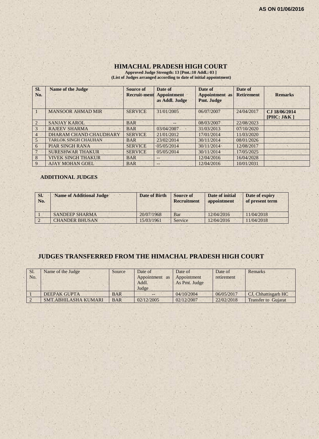# **HIMACHAL PRADESH HIGH COURT**

**Approved Judge Strength: 13 [Pmt.:10 Addl.: 03 ] (List of Judges arranged according to date of initial appointment)**

| SI.<br>No.     | <b>Name of the Judge</b>    | Source of<br><b>Recruit-ment</b> | Date of<br><b>Appointment</b><br>as Addl. Judge | Date of<br><b>Appointment</b> as<br>Pmt. Judge | Date of<br><b>Retirement</b> | <b>Remarks</b>              |
|----------------|-----------------------------|----------------------------------|-------------------------------------------------|------------------------------------------------|------------------------------|-----------------------------|
|                | <b>MANSOOR AHMAD MIR</b>    | <b>SERVICE</b>                   | 31/01/2005                                      | 06/07/2007                                     | 24/04/2017                   | CJ 18/06/2014<br>[PHC: J&K] |
| $\overline{2}$ | <b>SANJAY KAROL</b>         | <b>BAR</b>                       | --                                              | 08/03/2007                                     | 22/08/2023                   |                             |
| 3              | <b>RAJEEV SHARMA</b>        | <b>BAR</b>                       | 03/04/2007                                      | 31/03/2013                                     | 07/10/2020                   |                             |
| $\overline{4}$ | DHARAM CHAND CHAUDHARY      | <b>SERVICE</b>                   | 21/01/2012                                      | 17/01/2014                                     | 11/03/2020                   |                             |
| 5              | <b>TARLOK SINGH CHAUHAN</b> | <b>BAR</b>                       | 23/02/2014                                      | 30/11/2014                                     | 08/01/2026                   |                             |
| 6              | PIAR SINGH RANA             | <b>SERVICE</b>                   | 05/05/2014                                      | 30/11/2014                                     | 12/08/2017                   |                             |
|                | <b>SURESHWAR THAKUR</b>     | <b>SERVICE</b>                   | 05/05/2014                                      | 30/11/2014                                     | 17/05/2025                   |                             |
| 8              | <b>VIVEK SINGH THAKUR</b>   | <b>BAR</b>                       | --                                              | 12/04/2016                                     | 16/04/2028                   |                             |
| 9              | <b>AJAY MOHAN GOEL</b>      | <b>BAR</b>                       | $--$                                            | 12/04/2016                                     | 10/01/2031                   |                             |

#### **ADDITIONAL JUDGES**

| SI.<br>No. | <b>Name of Additional Judge</b> | Date of Birth | <b>Source of</b><br>Recruitment | Date of initial<br>appointment | Date of expiry<br>of present term |
|------------|---------------------------------|---------------|---------------------------------|--------------------------------|-----------------------------------|
|            | <b>SANDEEP SHARMA</b>           | 20/07/1968    | Bar                             | 12/04/2016                     | 11/04/2018                        |
|            | <b>CHANDER BHUSAN</b>           | 15/03/1961    | <b>Service</b>                  | 12/04/2016                     | 11/04/2018                        |

# **JUDGES TRANSFERRED FROM THE HIMACHAL PRADESH HIGH COURT**

| Sl.<br>No. | Name of the Judge    | Source     | Date of<br>Appointment<br>as<br>Addl.<br>Judge | Date of<br>Appointment<br>As Pmt. Judge | Date of<br>retirement | Remarks                    |
|------------|----------------------|------------|------------------------------------------------|-----------------------------------------|-----------------------|----------------------------|
|            | <b>DEEPAK GUPTA</b>  | <b>BAR</b> | $- -$                                          | 04/10/2004                              | 06/05/2017            | CJ, Chhattisgarh HC        |
|            | SMT.ABHILASHA KUMARI | <b>BAR</b> | 02/12/2005                                     | 02/12/2007                              | 22/02/2018            | <b>Transfer to Gujarat</b> |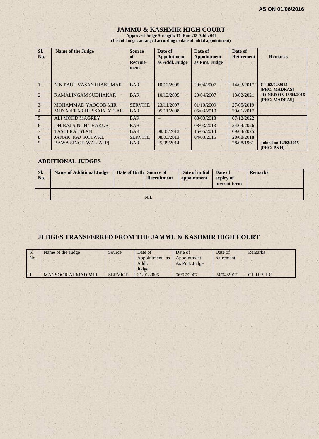# **JAMMU & KASHMIR HIGH COURT**

**Approved Judge Strength: 17 [Pmt.:13 Addl: 04] (List of Judges arranged according to date of initial appointment)**

| Sl.<br>No.     | <b>Name of the Judge</b>       | <b>Source</b><br>of<br>Recruit-<br>ment | Date of<br><b>Appointment</b><br>as Addl. Judge | Date of<br><b>Appointment</b><br>as Pmt. Judge | Date of<br><b>Retirement</b> | <b>Remarks</b>                               |
|----------------|--------------------------------|-----------------------------------------|-------------------------------------------------|------------------------------------------------|------------------------------|----------------------------------------------|
|                | N.N.PAUL VASANTHAKUMAR         | <b>BAR</b>                              | 10/12/2005                                      | 20/04/2007                                     | 14/03/2017                   | CJ 02/02/2015<br>[PHC: MADRAS]               |
| $\overline{2}$ | <b>RAMALINGAM SUDHAKAR</b>     | <b>BAR</b>                              | 10/12/2005                                      | 20/04/2007                                     | 13/02/2021                   | <b>JOINED ON 18/04/2016</b><br>[PHC: MADRAS] |
| 3 <sub>1</sub> | MOHAMMAD YAQOOB MIR            | <b>SERVICE</b>                          | 23/11/2007                                      | 01/10/2009                                     | 27/05/2019                   |                                              |
| $\overline{4}$ | <b>MUZAFFRAR HUSSAIN ATTAR</b> | <b>BAR</b>                              | 05/11/2008                                      | 05/03/2010                                     | 29/01/2017                   |                                              |
| $\overline{5}$ | <b>ALI MOHD MAGREY</b>         | <b>BAR</b>                              |                                                 | 08/03/2013                                     | 07/12/2022                   |                                              |
| 6              | <b>DHIRAJ SINGH THAKUR</b>     | <b>BAR</b>                              | $--$                                            | 08/03/2013                                     | 24/04/2026                   |                                              |
|                | <b>TASHI RABSTAN</b>           | <b>BAR</b>                              | 08/03/2013                                      | 16/05/2014                                     | 09/04/2025                   |                                              |
| 8              | <b>JANAK RAJ KOTWAL</b>        | <b>SERVICE</b>                          | 08/03/2013                                      | 04/03/2015                                     | 28/08/2018                   |                                              |
| 9              | <b>BAWA SINGH WALIA [P]</b>    | <b>BAR</b>                              | 25/09/2014                                      |                                                | 28/08/1961                   | <b>Joined on 12/02/2015</b><br>$[PHC: P\&H]$ |

#### **ADDITIONAL JUDGES**

| SI.<br>No. | <b>Name of Additional Judge</b> | Date of Birth Source of | <b>Recruitment</b> | Date of initial<br>appointment | Date of<br>expiry of<br>present term | <b>Remarks</b> |
|------------|---------------------------------|-------------------------|--------------------|--------------------------------|--------------------------------------|----------------|
|            |                                 |                         | <b>NIL</b>         |                                |                                      |                |

# **JUDGES TRANSFERRED FROM THE JAMMU & KASHMIR HIGH COURT**

| Sl.<br>No. | Name of the Judge        | Source         | Date of<br>Appointment<br><b>as</b><br>Addl.<br>Judge | Date of<br>Appointment<br>As Pmt. Judge | Date of<br>retirement | Remarks      |
|------------|--------------------------|----------------|-------------------------------------------------------|-----------------------------------------|-----------------------|--------------|
|            | <b>MANSOOR AHMAD MIR</b> | <b>SERVICE</b> | 31/01/2005                                            | 06/07/2007                              | 24/04/2017            | CI. H.P. H C |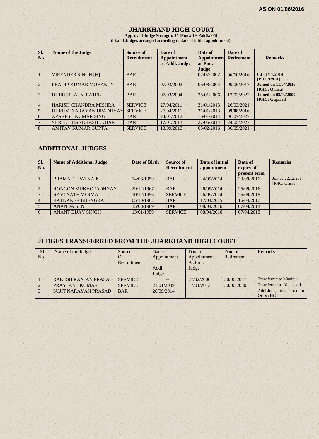## **JHARKHAND HIGH COURT**

**Approved Judge Strength: 25 [Pmt.: 19 Addl.: 06] (List of Judges arranged according to date of initial appointment)**

| SI.<br>No.     | <b>Name of the Judge</b>     | Source of<br><b>Recruitment</b> | Date of<br><b>Appointment</b><br>as Addl. Judge | Date of<br><b>Appointment</b><br>as Pmt. | Date of<br><b>Retirement</b> | <b>Remarks</b>                                      |
|----------------|------------------------------|---------------------------------|-------------------------------------------------|------------------------------------------|------------------------------|-----------------------------------------------------|
|                | <b>VIRENDER SINGH [H]</b>    | <b>BAR</b>                      |                                                 | Judge<br>02/07/2002                      | 06/10/2016                   | CJ 01/11/2014<br>$[PHC: P\&H]$                      |
| $\overline{2}$ | PRADIP KUMAR MOHANTY         | <b>BAR</b>                      | 07/03/2002                                      | 06/03/2004                               | 09/06/2017                   | <b>Joined on 11/04/2016</b><br><b>[PHC: Orissa]</b> |
| $\mathcal{E}$  | <b>DHIRUBHAI N. PATEL</b>    | <b>BAR</b>                      | 07/03/2004                                      | 25/01/2006                               | 12/03/2022                   | <b>Joined on 03/02/2009</b><br>[PHC: Gujarat]       |
| $\overline{4}$ | <b>HARISH CHANDRA MISHRA</b> | <b>SERVICE</b>                  | 27/04/2011                                      | 31/01/2013                               | 26/03/2021                   |                                                     |
| $\overline{5}$ | DHRUV NARAYAN UPADHYAY       | <b>SERVICE</b>                  | 27/04/2011                                      | 31/01/2013                               | 09/08/2016                   |                                                     |
| 6              | APARESH KUMAR SINGH          | <b>BAR</b>                      | 24/01/2012                                      | 16/01/2014                               | 06/07/2027                   |                                                     |
|                | <b>SHREE CHANDRASHEKHAR</b>  | <b>BAR</b>                      | 17/01/2013                                      | 27/06/2014                               | 24/05/2027                   |                                                     |
| 8              | <b>AMITAV KUMAR GUPTA</b>    | <b>SERVICE</b>                  | 18/09/2013                                      | 03/02/2016                               | 30/05/2021                   |                                                     |

# **ADDITIONAL JUDGES**

| SI.<br>No.     | <b>Name of Additional Judge</b> | <b>Date of Birth</b> | Source of<br><b>Recruitment</b> | Date of initial<br>appointment | Date of<br>expiry of<br>present term | <b>Remarks</b>                     |
|----------------|---------------------------------|----------------------|---------------------------------|--------------------------------|--------------------------------------|------------------------------------|
|                | PRAMATH PATNAIK                 | 14/06/1959           | <b>BAR</b>                      | 24/09/2014                     | 23/09/2016                           | Joined 22.12.2014<br>[PHC: Orissa] |
| $\overline{2}$ | RONGON MUKHOPADHYAY             | 29/12/1967           | <b>BAR</b>                      | 26/09/2014                     | 25/09/2016                           |                                    |
|                | <b>RAVI NATH VERMA</b>          | 10/12/1956           | <b>SERVICE</b>                  | 26/09/2014                     | 25/09/2016                           |                                    |
| $\overline{4}$ | <b>RATNAKER BHENGRA</b>         | 05/10/1962           | <b>BAR</b>                      | 17/04/2015                     | 16/04/2017                           |                                    |
|                | <b>ANANDA SEN</b>               | 15/08/1969           | <b>BAR</b>                      | 08/04/2016                     | 07/04/2018                           |                                    |
| 6              | <b>ANANT BIJAY SINGH</b>        | 13/01/1959           | <b>SERVICE</b>                  | 08/04/2016                     | 07/04/2018                           |                                    |

# **JUDGES TRANSFERRED FROM THE JHARKHAND HIGH COURT**

| Sl.           | Name of the Judge           | Source         | Date of     | Date of     | Date of    | Remarks                       |
|---------------|-----------------------------|----------------|-------------|-------------|------------|-------------------------------|
| No.           |                             | Of             | Appointment | Appointment | Retirement |                               |
|               |                             | Recruitment    | as          | As Pmt.     |            |                               |
|               |                             |                | Addl.       | Judge       |            |                               |
|               |                             |                | Judge       |             |            |                               |
|               | <b>RAKESH RANJAN PRASAD</b> | <b>SERVICE</b> | $--$        | 27/02/2006  | 30/06/2017 | <b>Transferred to Manipur</b> |
|               | <b>PRASHANT KUMAR</b>       | <b>SERVICE</b> | 21/01/2009  | 17/01/2013  | 30/06/2020 | Transferred to Allahabad      |
| $\mathcal{R}$ | <b>SUJIT NARAYAN PRASAD</b> | <b>BAR</b>     | 26/09/2014  |             |            | Addl.Judge transferred to     |
|               |                             |                |             |             |            | Orissa HC                     |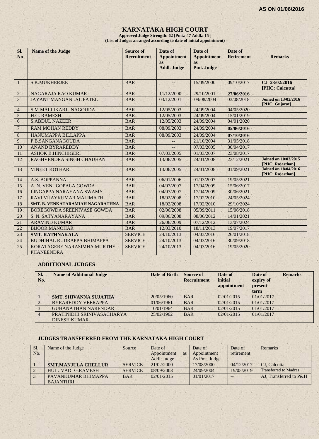# **KARNATAKA HIGH COURT**

**Approved Judge Strength: 62 [Pmt.: 47 Addl.: 15 ] (List of Judges arranged according to date of initial appointment)**

| Sl.<br>N <sub>o</sub> | <b>Name of the Judge</b>                         | <b>Source of</b><br><b>Recruitment</b> | Date of<br><b>Appointment</b><br><b>as</b><br><b>Addl. Judge</b> | Date of<br><b>Appointment</b><br><b>as</b><br>Pmt. Judge | Date of<br><b>Retirement</b> | <b>Remarks</b>                                  |
|-----------------------|--------------------------------------------------|----------------------------------------|------------------------------------------------------------------|----------------------------------------------------------|------------------------------|-------------------------------------------------|
| 1                     | <b>S.K.MUKHERJEE</b>                             | <b>BAR</b>                             |                                                                  | 15/09/2000                                               | 09/10/2017                   | CJ 23/02/2016<br>[PHC: Calcutta]                |
| $\overline{2}$        | NAGARAJA RAO KUMAR                               | <b>BAR</b>                             | 11/12/2000                                                       | 29/10/2001                                               | 27/06/2016                   |                                                 |
| 3                     | <b>JAYANT MANGANLAL PATEL</b>                    | <b>BAR</b>                             | 03/12/2001                                                       | 09/08/2004                                               | 03/08/2018                   | <b>Joined on 13/02/2016</b><br>[PHC: Gujarat]   |
| $\overline{4}$        | S.M.MALLIKARJUNAGOUDA                            | <b>BAR</b>                             | 12/05/2003                                                       | 24/09/2004                                               | 04/05/2020                   |                                                 |
| 5                     | H.G. RAMESH                                      | <b>BAR</b>                             | 12/05/2003                                                       | 24/09/2004                                               | 15/01/2019                   |                                                 |
| 6                     | <b>S.ABDUL NAZEER</b>                            | <b>BAR</b>                             | 12/05/2003                                                       | 24/09/2004                                               | 04/01/2020                   |                                                 |
| $\overline{7}$        | <b>RAM MOHAN REDDY</b>                           | <b>BAR</b>                             | 08/09/2003                                                       | 24/09/2004                                               | 05/06/2016                   |                                                 |
| 8                     | HANUMAPPA BILLAPPA                               | <b>BAR</b>                             | 08/09/2003                                                       | 24/09/2004                                               | 07/10/2016                   |                                                 |
| 9                     | P.B.SANGANAGOUDA                                 | <b>BAR</b>                             | $--$                                                             | 21/10/2004                                               | 31/05/2018                   |                                                 |
| 10                    | <b>ANAND BYRAREDDY</b>                           | <b>BAR</b>                             |                                                                  | 07/03/2005                                               | 30/04/2017                   |                                                 |
| 11                    | <b>ASHOK B.HINCHIGERI</b>                        | <b>BAR</b>                             | 07/03/2005                                                       | 01/03/2007                                               | 23/08/2017                   |                                                 |
| 12                    | RAGHVENDRA SINGH CHAUHAN                         | <b>BAR</b>                             | 13/06/2005                                                       | 24/01/2008                                               | 23/12/2021                   | <b>Joined on 10/03/2015</b><br>[PHC: Rajasthan] |
| 13                    | <b>VINEET KOTHARI</b>                            | <b>BAR</b>                             | 13/06/2005                                                       | 24/01/2008                                               | 01/09/2021                   | <b>Joined on 18/04/2016</b><br>[PHC: Rajasthan] |
| 14                    | A.S. BOPPANNA                                    | <b>BAR</b>                             | 06/01/2006                                                       | 01/03/2007                                               | 19/05/2021                   |                                                 |
| 15                    | A. N. VENUGOPALA GOWDA                           | <b>BAR</b>                             | 04/07/2007                                                       | 17/04/2009                                               | 15/06/2017                   |                                                 |
| 16                    | LINGAPPA NARAYANA SWAMY                          | <b>BAR</b>                             | 04/07/2007                                                       | 17/04/2009                                               | 30/06/2021                   |                                                 |
| 17                    | RAVI VIJAYKUMAR MALIMATH                         | <b>BAR</b>                             | 18/02/2008                                                       | 17/02/2010                                               | 24/05/2024                   |                                                 |
| 18                    | SMT. B. VENKATARAMIAH NAGARATHNA                 | <b>BAR</b>                             | 18/02/2008                                                       | 17/02/2010                                               | 29/10/2024                   |                                                 |
| 19                    | <b>BOREGOWDA SREENIVASE GOWDA</b>                | <b>BAR</b>                             | 02/06/2008                                                       | 05/09/2011                                               | 15/06/2018                   |                                                 |
| 20                    | S. N. SATYANARAYANA                              | <b>BAR</b>                             | 09/06/2008                                                       | 08/06/2012                                               | 14/01/2021                   |                                                 |
| 21                    | <b>ARAVIND KUMAR</b>                             | <b>BAR</b>                             | 26/06/2009                                                       | 07/12/2012                                               | 13/07/2024                   |                                                 |
| 22                    | <b>BIJOOR MANOHAR</b>                            | <b>BAR</b>                             | 12/03/2010                                                       | 18/11/2013                                               | 19/07/2017                   |                                                 |
| 23                    | <b>SMT. RATHNAKALA</b>                           | <b>SERVICE</b>                         | 24/10/2013                                                       | 04/03/2016                                               | 26/01/2018                   |                                                 |
| 24                    | <b>BUDHIHAL RUDRAPPA BHIMAPPA</b>                | <b>SERVICE</b>                         | 24/10/2013                                                       | 04/03/2016                                               | 30/09/2018                   |                                                 |
| 25                    | KORATAGERE NARASIMHA MURTHY<br><b>PHANEENDRA</b> | <b>SERVICE</b>                         | 24/10/2013                                                       | 04/03/2016                                               | 19/05/2020                   |                                                 |

#### **ADDITIONAL JUDGES**

| Sl.<br>No.     | <b>Name of Additional Judge</b> | Date of Birth | <b>Source of</b><br><b>Recruitment</b> | Date of<br>initial<br>appointment | Date of<br>expiry of<br>present<br>term | <b>Remarks</b> |
|----------------|---------------------------------|---------------|----------------------------------------|-----------------------------------|-----------------------------------------|----------------|
|                | <b>SMT. SHIVANNA SUJATHA</b>    | 20/05/1960    | <b>BAR</b>                             | 02/01/2015                        | 01/01/2017                              |                |
|                | <b>BYRAREDDY VEERAPPA</b>       | 01/06/1961    | <b>BAR</b>                             | 02/01/2015                        | 01/01/2017                              |                |
|                | <b>GUHANATHAN NARENDAR</b>      | 10/01/1964    | <b>BAR</b>                             | 02/01/2015                        | 01/01/2017                              |                |
| $\overline{4}$ | PRATINIDHI SRINIVASACHARYA      | 25/02/1962    | <b>BAR</b>                             | 02/01/2015                        | 01/01/2017                              |                |
|                | <b>DINESH KUMAR</b>             |               |                                        |                                   |                                         |                |

 $1.11$ 

 $1.7.7$ 

## **JUDGES TRANSFERRED FROM THE KARNATAKA HIGH COURT**

 $1.7.7$ 

| Sl. | Name of the Judge          | Source         | Date of                  | Date of       | Date of    | Remarks                      |
|-----|----------------------------|----------------|--------------------------|---------------|------------|------------------------------|
| No. |                            |                | Appointment<br><b>as</b> | Appointment   | retirement |                              |
|     |                            |                | Addl. Judge              | As Pmt. Judge |            |                              |
|     | <b>SMT.MANJULA CHELLUR</b> | <b>SERVICE</b> | 21/02/2000               | 17/08/2000    | 04/12/2017 | CJ. Calcutta                 |
|     | <b>HULUVADI G.RAMESH</b>   | <b>SERVICE</b> | 08/09/2003               | 24/09/2004    | 19/05/2019 | <b>Transferred to Madras</b> |
|     | PAVANKUMAR BHIMAPPA        | <b>BAR</b>     | 02/01/2015               | 01/01/2017    | $- -$      | AJ. Transferred to P&H       |
|     | <b>BAJANTHRI</b>           |                |                          |               |            |                              |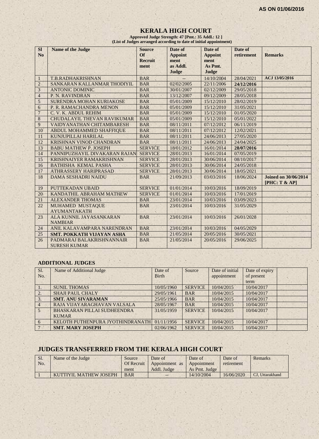#### **KERALA HIGH COURT Approved Judge Strength: 47 [Pmt.: 35 Addl.: 12 ]**

 **(List of Judges arranged according to date of initial appointment)**

| <b>SI</b>            | <b>Name of the Judge</b>                              | <b>Source</b>          | Date of          | Date of                  | Date of                  |                                              |
|----------------------|-------------------------------------------------------|------------------------|------------------|--------------------------|--------------------------|----------------------------------------------|
| No                   |                                                       | Of                     | <b>Appoint</b>   | <b>Appoint</b>           | retirement               | <b>Remarks</b>                               |
|                      |                                                       | <b>Recruit</b><br>ment | ment<br>as Addl. | ment<br>As Pmt.          |                          |                                              |
|                      |                                                       |                        | Judge            | Judge                    |                          |                                              |
|                      | T.B.RADHAKRISHNAN                                     | <b>BAR</b>             |                  | 14/10/2004               | 28/04/2021               | ACJ 13/05/2016                               |
| -1<br>$\overline{2}$ |                                                       | <b>BAR</b>             | 02/02/2005       |                          |                          |                                              |
| 3                    | SANKARAN KALLANMAR THODIYIL<br><b>ANTONIC DOMINIC</b> | <b>BAR</b>             | 30/01/2007       | 22/11/2006<br>02/12/2009 | 24/12/2016<br>29/05/2018 |                                              |
| $\overline{4}$       |                                                       | <b>BAR</b>             |                  |                          |                          |                                              |
|                      | P. N. RAVINDRAN                                       |                        | 13/12/2007       | 09/12/2009               | 28/05/2018               |                                              |
| 5                    | SURENDRA MOHAN KURIAKOSE                              | <b>BAR</b>             | 05/01/2009       | 15/12/2010               | 28/02/2019               |                                              |
| 6                    | P. R. RAMACHANDRA MENON                               | <b>BAR</b>             | 05/01/2009       | 15/12/2010               | 31/05/2021               |                                              |
| $\overline{7}$       | C. V. K. ABDUL REHIM                                  | <b>BAR</b>             | 05/01/2009       | 15/12/2010               | 01/05/2020               |                                              |
| $\,8\,$              | CHUDALAYIL THEVAN RAVIKUMAR                           | <b>BAR</b>             | 05/01/2009       | 15/12/2010               | 05/01/2022               |                                              |
| 9                    | VAIDYANATHAN CHITAMBARESH                             | <b>BAR</b>             | 08/11/2011       | 07/12/2012               | 06/11/2019               |                                              |
| 10                   | ABDUL MOHAMMED SHAFFIQUE                              | <b>BAR</b>             | 08/11/2011       | 07/12/2012               | 12/02/2021               |                                              |
| 11                   | KUNJUPILLAI HARILAL                                   | <b>BAR</b>             | 08/11/2011       | 24/06/2013               | 27/05/2020               |                                              |
| 12                   | KRISHNAN VINOD CHANDRAN                               | <b>BAR</b>             | 08/11/2011       | 24/06/2013               | 24/04/2025               |                                              |
| 13                   | <b>BABU MATHEW P. JOSEPH</b>                          | <b>SERVICE</b>         | 18/01/2012       | 16/01/2014               | 28/07/2016               |                                              |
| 14                   | PANNIPUZHAYIL DIVAKARAN RAJAN                         | <b>SERVICE</b>         | 28/01/2013       | 16/01/2014               | 07/05/2019               |                                              |
| 15                   | <b>KRISHNAIYER RAMAKRISHNAN</b>                       | <b>SERVICE</b>         | 28/01/2013       | 30/06/2014               | 08/10/2017               |                                              |
| 16                   | <b>BATHISHA KEMAL PASHA</b>                           | <b>SERVICE</b>         | 28/01/2013       | 30/06/2014               | 24/05/2018               |                                              |
| 17                   | <b>ATHRASSERY HARIPRASAD</b>                          | <b>SERVICE</b>         | 28/01/2013       | 30/06/2014               | 18/05/2021               |                                              |
| 18                   | <b>DAMA SESHADRI NAIDU</b>                            | <b>BAR</b>             | 21/09/2013       | 03/03/2016               | 18/06/2024               | <b>Joined on 30/06/2014</b><br>[PHC: T & AP] |
| 19                   | PUTTEKADAN UBAID                                      | <b>SERVICE</b>         | 01/01/2014       | 10/03/2016               | 18/09/2019               |                                              |
| 20                   | KANDATHIL ABRAHAM MATHEW                              | <b>SERVICE</b>         | 01/01/2014       | 10/03/2016               | 17/01/2019               |                                              |
| 21                   | <b>ALEXANDER THOMAS</b>                               | <b>BAR</b>             | 23/01/2014       | 10/03/2016               | 03/09/2023               |                                              |
| 22                   | MUHAMED MUSTAQUE                                      | <b>BAR</b>             | 23/01/2014       | 10/03/2016               | 31/05/2029               |                                              |
|                      | <b>AYUMANTAKATH</b>                                   |                        |                  |                          |                          |                                              |
| 23                   | ALA KUNNIL JAYASANKARAN                               | <b>BAR</b>             | 23/01/2014       | 10/03/2016               | 26/01/2028               |                                              |
|                      | <b>NAMBIAR</b>                                        |                        |                  |                          |                          |                                              |
| 24                   | ANIL KALAVAMPARA NARENDRAN                            | <b>BAR</b>             | 23/01/2014       | 10/03/2016               | 04/05/2029               |                                              |
| 25                   | <b>SMT. POKKATH VIJAYAN ASHA</b>                      | <b>BAR</b>             | 21/05/2014       | 20/05/2016               | 30/05/2021               |                                              |
| 26                   | PADMARAJ BALAKRISHNANNAIR<br><b>SURESH KUMAR</b>      | <b>BAR</b>             | 21/05/2014       | 20/05/2016               | 29/06/2025               |                                              |

#### **ADDITIONAL JUDGES**

| Sl.              | Name of Additional Judge         | Date of      | Source         | Date of initial | Date of expiry |  |
|------------------|----------------------------------|--------------|----------------|-----------------|----------------|--|
| No.              |                                  | <b>Birth</b> |                | appointment     | of present     |  |
|                  |                                  |              |                |                 | term           |  |
| $\mathbf{1}$ .   | <b>SUNIL THOMAS</b>              | 10/05/1960   | <b>SERVICE</b> | 10/04/2015      | 10/04/2017     |  |
| $\overline{2}$ . | <b>SHAJI PAUL CHALY</b>          | 29/05/1961   | <b>BAR</b>     | 10/04/2015      | 10/04/2017     |  |
| 3.               | <b>SMT. ANU SIVARAMAN</b>        | 25/05/1966   | <b>BAR</b>     | 10/04/2015      | 10/04/2017     |  |
| $4^{\circ}$      | RAJA VIJAYARAGHAVAN VALSALA      | 28/05/1967   | <b>BAR</b>     | 10/04/2015      | 10/04/2017     |  |
| 5 <sup>5</sup>   | BHASKARAN PILLAI SUDHEENDRA      | 31/05/1959   | <b>SERVICE</b> | 10/04/2015      | 10/04/2017     |  |
|                  | <b>KUMAR</b>                     |              |                |                 |                |  |
| 6                | KELOTH PUTHENPURA JYOTHINDRANATH | 01/11/1956   | <b>SERVICE</b> | 10/04/2015      | 10/04/2017     |  |
| $7\phantom{.0}$  | <b>SMT. MARY JOSEPH</b>          | 02/06/1962   | <b>SERVICE</b> | 10/04/2015      | 10/04/2017     |  |

# **JUDGES TRANSFERRED FROM THE KERALA HIGH COURT**

| Sl. | Name of the Judge      | Source     | Date of                    | Date of       | Date of    | Remarks         |
|-----|------------------------|------------|----------------------------|---------------|------------|-----------------|
| No. |                        | Of Recruit | Appointment as Appointment |               | retirement |                 |
|     |                        | ment       | Addl. Judge                | As Pmt. Judge |            |                 |
|     | KUTTIYIL MATHEW JOSEPH | <b>BAR</b> | $- -$                      | 14/10/2004    | 16/06/2020 | CJ. Uttarakhand |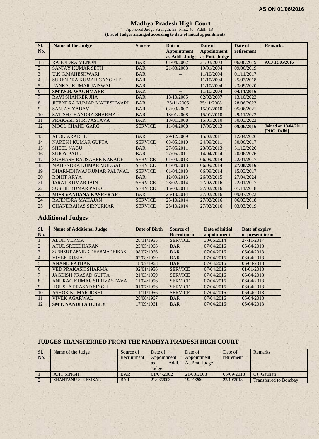#### **Madhya Pradesh High Court**

Approved Judge Strength: 53 [Pmt.: 40 Addl.: 13 ] **(List of Judges arranged according to date of initial appointment)**

| Sl.            | <b>Name of the Judge</b>         | <b>Source</b>  | Date of            | Date of            | Date of    | <b>Remarks</b>                              |
|----------------|----------------------------------|----------------|--------------------|--------------------|------------|---------------------------------------------|
| No.            |                                  |                | <b>Appointment</b> | <b>Appointment</b> | retirement |                                             |
|                |                                  |                | as Addl. Judge     | as Pmt. Judge      |            |                                             |
| -1             | <b>RAJENDRA MENON</b>            | <b>BAR</b>     | 01/04/2002         | 21/03/2003         | 06/06/2019 | ACJ 13/05/2016                              |
| $\overline{2}$ | <b>SANJAY KUMAR SETH</b>         | <b>BAR</b>     | 21/03/2003         | 19/01/2004         | 09/06/2019 |                                             |
| 3              | <b>U.K.G.MAHESHWARI</b>          | <b>BAR</b>     |                    | 11/10/2004         | 01/11/2017 |                                             |
| $\overline{4}$ | <b>SURENDRA KUMAR GANGELE</b>    | <b>BAR</b>     | --                 | 11/10/2004         | 25/07/2018 |                                             |
| 5              | PANKAJ KUMAR JAISWAL             | <b>BAR</b>     | --                 | 11/10/2004         | 23/09/2020 |                                             |
| 6              | <b>SMT.S.R. WAGHMARE</b>         | <b>BAR</b>     |                    | 11/10/2004         | 04/11/2016 |                                             |
| $\overline{7}$ | <b>RAVI SHANKER JHA</b>          | <b>BAR</b>     | 18/10/2005         | 02/02/2007         | 13/10/2023 |                                             |
| 8              | <b>JITENDRA KUMAR MAHESHWARI</b> | <b>BAR</b>     | 25/11/2005         | 25/11/2008         | 28/06/2023 |                                             |
| 9              | <b>SANJAY YADAV</b>              | <b>BAR</b>     | 02/03/2007         | 15/01/2010         | 05/06/2021 |                                             |
| 10             | SATISH CHANDRA SHARMA            | <b>BAR</b>     | 18/01/2008         | 15/01/2010         | 29/11/2023 |                                             |
| 11             | PRAKASH SHRIVASTAVA              | <b>BAR</b>     | 18/01/2008         | 15/01/2010         | 30/03/2023 |                                             |
| 12             | <b>MOOL CHAND GARG</b>           | <b>SERVICE</b> | 11/04/2008         | 17/06/2013         | 09/06/2016 | <b>Joined on 18/04/2011</b><br>[PHC: Delhi] |
| 13             | <b>ALOK ARADHE</b>               | <b>BAR</b>     | 29/12/2009         | 15/02/2011         | 12/04/2026 |                                             |
| 14             | NARESH KUMAR GUPTA               | <b>SERVICE</b> | 03/05/2010         | 24/09/2011         | 30/06/2017 |                                             |
| 15             | <b>SHEEL NAGU</b>                | <b>BAR</b>     | 27/05/2011         | 23/05/2013         | 31/12/2026 |                                             |
| 16             | <b>SUJOY PAUL</b>                | <b>BAR</b>     | 27/05/2011         | 14/04/2014         | 20/06/2026 |                                             |
| 17             | <b>SUBHASH RAOSAHEB KAKADE</b>   | <b>SERVICE</b> | 01/04/2013         | 06/09/2014         | 22/01/2017 |                                             |
| 18             | <b>MAHENDRA KUMAR MUDGAL</b>     | <b>SERVICE</b> | 01/04/2013         | 06/09/2014         | 27/08/2016 |                                             |
| 19             | DHARMDHWAJ KUMAR PALIWAL         | <b>SERVICE</b> | 01/04/2013         | 06/09/2014         | 15/03/2017 |                                             |
| 20             | <b>ROHIT ARYA</b>                | <b>BAR</b>     | 12/09/2013         | 26/03/2015         | 27/04/2024 |                                             |
| 21             | <b>JARAT KUMAR JAIN</b>          | <b>SERVICE</b> | 28/02/2014         | 27/02/2016         | 22/01/2017 |                                             |
| 22             | <b>SUSHIL KUMAR PALO</b>         | <b>SERVICE</b> | 15/04/2014         | 27/02/2016         | 01/11/2018 |                                             |
| 23             | <b>MISS VANDANA KASREKAR</b>     | <b>BAR</b>     | 25/10/2014         | 27/02/2016         | 09/07/2022 |                                             |
| 24             | <b>RAJENDRA MAHAJAN</b>          | <b>SERVICE</b> | 25/10/2014         | 27/02/2016         | 06/03/2018 |                                             |
| 25             | <b>CHANDRAHAS SIRPURKAR</b>      | <b>SERVICE</b> | 25/10/2014         | 27/02/2016         | 03/03/2019 |                                             |

# **Additional Judges**

| SI.             | <b>Name of Additional Judge</b> | Date of Birth | Source of          | Date of initial | Date of expiry  |
|-----------------|---------------------------------|---------------|--------------------|-----------------|-----------------|
| No.             |                                 |               | <b>Recruitment</b> | appointment     | of present term |
|                 | <b>ALOK VERMA</b>               | 28/11/1955    | <b>SERVICE</b>     | 30/06/2014      | 27/11/2017      |
| $\overline{2}$  | <b>ATUL SREEDHARAN</b>          | 25/05/1966    | <b>BAR</b>         | 07/04/2016      | 06/04/2018      |
| 3               | SUSHRUT ARVIND DHARMADHIKARI    | 08/07/1966    | <b>BAR</b>         | 07/04/2016      | 06/04/2018      |
| $\overline{4}$  | <b>VIVEK RUSIA</b>              | 02/08/1969    | <b>BAR</b>         | 07/04/2016      | 06/04/2018      |
| 5 <sup>5</sup>  | <b>ANAND PATHAK</b>             | 18/07/1968    | <b>BAR</b>         | 07/04/2016      | 06/04/2018      |
| 6               | <b>VED PRAKASH SHARMA</b>       | 02/01/1956    | <b>SERVICE</b>     | 07/04/2016      | 01/01/2018      |
| $7\phantom{.0}$ | <b>JAGDISH PRASAD GUPTA</b>     | 21/03/1959    | <b>SERVICE</b>     | 07/04/2016      | 06/04/2018      |
| 8               | ANURAG KUMAR SHRIVASTAVA        | 11/04/1956    | <b>SERVICE</b>     | 07/04/2016      | 06/04/2018      |
| 9               | <b>HOUSLA PRASAD SINGH</b>      | 01/07/1956    | <b>SERVICE</b>     | 07/04/2016      | 06/04/2018      |
| 10              | <b>ASHOK KUMAR JOSHI</b>        | 11/11/1956    | <b>SERVICE</b>     | 07/04/2016      | 06/04/2018      |
| 11              | <b>VIVEK AGARWAL</b>            | 28/06/1967    | <b>BAR</b>         | 07/04/2016      | 06/04/2018      |
| 12              | <b>SMT. NANDITA DUBEY</b>       | 17/09/1961    | <b>BAR</b>         | 07/04/2016      | 06/04/2018      |

#### **JUDGES TRANSFERRED FROM THE MADHYA PRADESH HIGH COURT**

| Sl. | Name of the Judge         | Source of   | Date of            | Date of       | Date of    | <b>Remarks</b>               |
|-----|---------------------------|-------------|--------------------|---------------|------------|------------------------------|
| No. |                           | Recruitment | Appointment        | Appointment   | retirement |                              |
|     |                           |             | Addl.<br><b>as</b> | As Pmt. Judge |            |                              |
|     |                           |             | Judge              |               |            |                              |
|     | <b>AJIT SINGH</b>         | <b>BAR</b>  | 01/04/2002         | 21/03/2003    | 05/09/2018 | CJ. Gauhati                  |
|     | <b>SHANTANU S. KEMKAR</b> | <b>BAR</b>  | 21/03/2003         | 19/01/2004    | 22/10/2018 | <b>Transferred to Bombay</b> |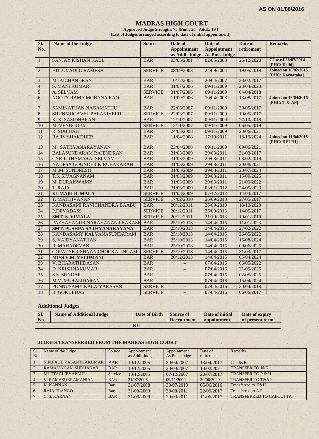#### **MADRAS HIGH COURT**

**Approved Judge Strength: 75 [Pmt.: 56 Addl.: 19 ] (List of Judges arranged according to date of initial appointment)**

| SI.<br>No.     | Name of the Judge             | <b>Source</b>  | Date of<br><b>Appointment</b><br>as Addl. Judge | Date of<br><b>Appointment</b><br>As Pmt. Judge | Date of<br>retirement | <b>Remarks</b>                                  |
|----------------|-------------------------------|----------------|-------------------------------------------------|------------------------------------------------|-----------------------|-------------------------------------------------|
| $\mathbf{1}$   | <b>SANJAY KISHAN KAUL</b>     | <b>BAR</b>     | 03/05/2001                                      | 02/05/2003                                     | 25/12/2020            | CJ w.e.f.26/07/2014<br>[PHC: Delhi]             |
| $\overline{2}$ | <b>HULUVADI G.RAMESH</b>      | <b>SERVICE</b> | 08/09/2003                                      | 24/09/2004                                     | 19/05/2019            | <b>Joined on 16/02/2015</b><br>[PHC: Karnataka] |
| 3              | <b>M.JAICHANDRAN</b>          | <b>BAR</b>     | 10/12/2005                                      | 20/04/2007                                     | 23/02/2017            |                                                 |
| $\overline{4}$ | <b>S. MANI KUMAR</b>          | <b>BAR</b>     | 31/07/2006                                      | 09/11/2009                                     | 23/04/2023            |                                                 |
| 5              | A. SELVAM                     | <b>SERVICE</b> | 31/07/2006                                      | 09/11/2009                                     | 04/04/2018            |                                                 |
| 6              | NOOTY RAMA MOHANA RAO         | <b>BAR</b>     | 11/09/2006                                      | 10/04/2008                                     | 13/08/2017            | <b>Joined on 18/04/2016</b><br>[PHC: T & A      |
| $\overline{7}$ | SAMINATHAN NAGAMATHU          | <b>BAR</b>     | 22/03/2007                                      | 09/11/2009                                     | 30/05/2017            |                                                 |
| $\overline{8}$ | SHUNMUGAVEL PALANIVELU        | <b>SERVICE</b> | 22/03/2007                                      | 09/11/2009                                     | 10/05/2017            |                                                 |
| 9              | K. K. SASIDHARAN              | <b>BAR</b>     | 12/11/2007                                      | 09/11/2009                                     | 27/10/2019            |                                                 |
| 10             | M. VENUGOPAL                  | <b>SERVICE</b> | 12/11/2007                                      | 09/11/2009                                     | 06/05/2019            |                                                 |
| 11             | <b>R. SUBBIAH</b>             | <b>BAR</b>     | 24/03/2008                                      | 09/11/2009                                     | 20/06/2021            |                                                 |
| 12             | <b>RAJIV SHAKDHER</b>         | <b>BAR</b>     | 11/04/2008                                      | 17/10/2011                                     | 18/10/2024            | <b>Joined on 11/04/2016</b><br>[PHC: DELHI]     |
| 13             | M. SATHYANARAYANAN            | <b>BAR</b>     | 23/04/2008                                      | 09/11/2009                                     | 09/06/2021            |                                                 |
| 14             | <b>BALASUNDARAM RAJENDRAN</b> | <b>BAR</b>     | 31/03/2009                                      | 29/03/2011                                     | 31/03/2017            |                                                 |
| 15             | <b>CYRIL THAMARAI SELVAM</b>  | <b>BAR</b>     | 31/03/2009                                      | 29/03/2011                                     | 08/02/2019            |                                                 |
| 16             | NADESA GOUNDER KIRUBAKARAN    | <b>BAR</b>     | 31/03/2009                                      | 29/03/2011                                     | 20/08/2021            |                                                 |
| 17             | M.M. SUNDRESH                 | <b>BAR</b>     | 31/03/2009                                      | 29/03/2011                                     | 20/07/2024            |                                                 |
| 18             | <b>T.S. SIVAGNANAM</b>        | <b>BAR</b>     | 31/03/2009                                      | 29/03/2011                                     | 15/09/2025            |                                                 |
| 19             | M. DURAISWAMY                 | <b>BAR</b>     | 31/03/2009                                      | 29/03/2011                                     | 21/09/2022            |                                                 |
| 20             | T. RAJA                       | <b>BAR</b>     | 31/03/2009                                      | 03/01/2012                                     | 24/05/2023            |                                                 |
| 21             | <b>KUMARI R. MALA</b>         | <b>SERVICE</b> | 31/03/2009                                      | 07/12/2012                                     | 14/03/2017            |                                                 |
| 22             | <b>T. MATHIVANAN</b>          | <b>SERVICE</b> | 17/02/2010                                      | 26/09/2013                                     | 27/05/2017            |                                                 |
| 23             | KANDASAMI RAVICHANDRA BAABU   | <b>BAR</b>     | 20/12/2011                                      | 26/09/2013                                     | 13/10/2020            |                                                 |
| 24             | <b>P.DEVADASS</b>             | <b>SERVICE</b> | 20/12/2011                                      | 26/09/2013                                     | 14/05/2017            |                                                 |
| 25             | <b>SMT. S. VIMALA</b>         | <b>SERVICE</b> | 20/12/2011                                      | 21/10/2013                                     | 10/01/2019            |                                                 |
| 26             | PAZHAYANUR NARAYANAN PRAKASH  | <b>BAR</b>     | 25/10/2013                                      | 14/04/2015                                     | 11/01/2023            |                                                 |
| 27             | SMT. PUSHPA SATHYANARAYANA    | <b>BAR</b>     | 25/10/2013                                      | 14/04/2015                                     | 27/02/2022            |                                                 |
| 28             | KANDASAMY KALYANASUNDARAM     | <b>BAR</b>     | 25/10/2013                                      | 14/04/2015                                     | 26/05/2022            |                                                 |
| 29             | <b>S. VAIDYANATHAN</b>        | <b>BAR</b>     | 25/10/2013                                      | 14/04/2015                                     | 16/08/2024            |                                                 |
| 30             | R. MAHADEVAN                  | <b>BAR</b>     | 25/10/2013                                      | 14/04/2015                                     | 09/06/2025            |                                                 |
| 31             | GOPALAKRISHNAN CHOCKALINGAM   | <b>SERVICE</b> | 25/10/2013                                      | 14/04/2015                                     | 31/03/2017            |                                                 |
| 32             | <b>MISS V.M. VELUMANI</b>     | <b>BAR</b>     | 20/12/2013                                      | 14/04/2015                                     | 05/04/2024            |                                                 |
| 33             | V. BHARATHIDASAN              | <b>BAR</b>     | ÷,                                              | 07/04/2016                                     | 06/05/2022            |                                                 |
| 34             | D. KRISHNAKUMAR               | <b>BAR</b>     | $-$                                             | 07/04/2016                                     | 21/05/2025            |                                                 |
| 35             | <b>S.S. SUNDAR</b>            | <b>BAR</b>     | $- -$                                           | 07/04/2016                                     | 02/05/2025            |                                                 |
| 36             | <b>M.V. MURALIDARAN</b>       | <b>BAR</b>     | $-$                                             | 07/04/2016                                     | 15/04/2024            |                                                 |
| 37             | PONNUSAMY KALAIYARASAN        | <b>SERVICE</b> |                                                 | 07/04/2016                                     | 30/04/2018            |                                                 |
| 38             | <b>B. GOKULDAS</b><br>S.      | <b>SERVICE</b> | $\mathcal{L}_{\mathcal{A}}$                     | 07/04/2016                                     | 06/06/2017            |                                                 |

# **Additional Judges**

| SI.<br>No. | <b>Name of Additional Judge</b> | Date of Birth | Source of<br>Recruitment | Date of initial<br><b>appointment</b> | Date of expiry<br>of present term |
|------------|---------------------------------|---------------|--------------------------|---------------------------------------|-----------------------------------|
|            |                                 | -NIL-         |                          |                                       |                                   |

#### **JUDGES TRANSFERRED FROM THE MADRAS HIGH COURT**

| Sl.            | Name of the Judge          | Source     | Appointment    | Appointment   | Date of    | Remarks                        |
|----------------|----------------------------|------------|----------------|---------------|------------|--------------------------------|
| No.            |                            |            | as Addl. Judge | As Pmt. Judge | retirement |                                |
|                | N.N.PAUL VASANTHAKUMAR     | <b>BAR</b> | 10/12/2005     | 20/04/2007    | 13/04/2017 | $CJ.$ J&K                      |
| $\overline{2}$ | <b>RAMALINGAM SUDHAKAR</b> | <b>BAR</b> | 10/12/2005     | 20/04/2007    | 13/02/2021 | <b>TRANSFER TO J&amp;K</b>     |
| 3              | <b>MUTTACI JEYAPAUL</b>    | Service    | 10/12/2005     | 07/12/2007    | 20/07/2017 | <b>TRANSFER TO P &amp; H</b>   |
|                | <b>V. RAMASUBRAMANIAN</b>  | <b>BAR</b> | 31/07/2006     | 09/11/2009    | 29/06/2020 | <b>TRANSFER TO T&amp;AP</b>    |
|                | <b>K. KANNAN</b>           | Bar        | 31/07/2008     | 30/07/2010    | 05/06/2016 | Transferred to P&H             |
| 6.             | <b>RAJA ELANGO</b>         | Bar        | 31/03/2009     | 30/03/2011    | 22/09/2017 | Transferred to A.P.            |
|                | C. S. KARNAN               | <b>BAR</b> | 31/03/2009     | 29/03/2011    | 11/06/2017 | <b>TRANSFERRED TO CALCUTTA</b> |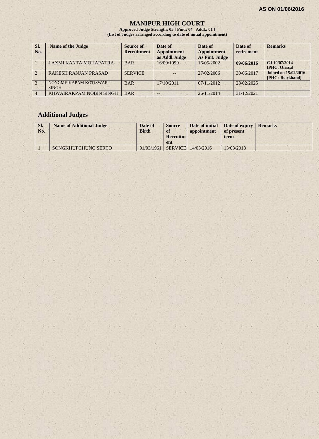#### **MANIPUR HIGH COURT**

**Approved Judge Strength: 05 [ Pmt.: 04 Addl.: 01 ] (List of Judges arranged according to date of initial appointment)**

| SI.<br>No.     | <b>Name of the Judge</b>              | Source of<br><b>Recruitment</b> | Date of<br><b>Appointment</b><br>as Addl.Judge | Date of<br><b>Appointment</b><br>As Pmt. Judge | Date of<br>retirement | <b>Remarks</b>                                  |
|----------------|---------------------------------------|---------------------------------|------------------------------------------------|------------------------------------------------|-----------------------|-------------------------------------------------|
|                | LAXMI KANTA MOHAPATRA                 | <b>BAR</b>                      | 16/09/1999                                     | 16/05/2002                                     | 09/06/2016            | CJ 10/07/2014<br>[PHC: Orissa]                  |
|                | <b>RAKESH RANJAN PRASAD</b>           | <b>SERVICE</b>                  | $--$                                           | 27/02/2006                                     | 30/06/2017            | <b>Joined on 15/02/2016</b><br>[PHC: Jharkhand] |
|                | NONGMEIKAPAM KOTISWAR<br><b>SINGH</b> | <b>BAR</b>                      | 17/10/2011                                     | 07/11/2012                                     | 28/02/2025            |                                                 |
| $\overline{4}$ | KHWAIRAKPAM NOBIN SINGH               | <b>BAR</b>                      | $- -$                                          | 26/11/2014                                     | 31/12/2021            |                                                 |

# **Additional Judges**

| SI.<br>No. | <b>Name of Additional Judge</b> | Date of<br><b>Birth</b> | <b>Source</b><br><b>of</b><br><b>Recruitm</b><br>ent | Date of initial<br>appointment | Date of expiry<br>of present<br>term | <b>Remarks</b> |
|------------|---------------------------------|-------------------------|------------------------------------------------------|--------------------------------|--------------------------------------|----------------|
|            | SONGKHUPCHUNG SERTO             | 01/03/1961              |                                                      | <b>SERVICE</b> 14/03/2016      | 13/03/2018                           |                |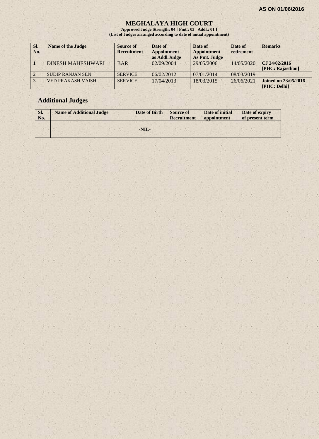#### **MEGHALAYA HIGH COURT**

**Approved Judge Strength: 04 [ Pmt.: 03 Addl.: 01 ] (List of Judges arranged according to date of initial appointment)**

| SI.<br>No. | <b>Name of the Judge</b> | Source of<br><b>Recruitment</b> | Date of<br><b>Appointment</b><br>as Addl.Judge | Date of<br><b>Appointment</b><br>As Pmt. Judge | Date of<br>retirement | <b>Remarks</b>                              |
|------------|--------------------------|---------------------------------|------------------------------------------------|------------------------------------------------|-----------------------|---------------------------------------------|
|            | <b>DINESH MAHESHWARI</b> | <b>BAR</b>                      | 02/09/2004                                     | 29/05/2006                                     | 14/05/2020            | CJ 24/02/2016<br>[PHC: Rajasthan]           |
|            | <b>SUDIP RANJAN SEN</b>  | <b>SERVICE</b>                  | 06/02/2012                                     | 07/01/2014                                     | 08/03/2019            |                                             |
|            | <b>VED PRAKASH VAISH</b> | <b>SERVICE</b>                  | 17/04/2013                                     | 18/03/2015                                     | 26/06/2021            | <b>Joined on 23/05/2016</b><br>[PHC: Delhi] |

# **Additional Judges**

| SI.<br>No. | <b>Name of Additional Judge</b> | Date of Birth | <b>Source of</b><br><b>Recruitment</b> | Date of initial<br>appointment | Date of expiry<br>of present term |
|------------|---------------------------------|---------------|----------------------------------------|--------------------------------|-----------------------------------|
|            |                                 |               |                                        |                                |                                   |
|            |                                 | $-NIL-$       |                                        |                                |                                   |
|            |                                 |               |                                        |                                |                                   |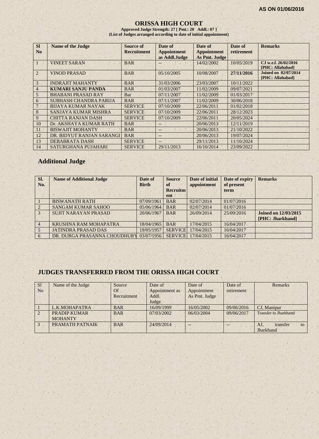#### **ORISSA HIGH COURT**

**Approved Judge Strength: 27 [ Pmt.: 20 Addl.: 07 ] (List of Judges arranged according to date of initial appointment)**

| <b>SI</b><br>No | <b>Name of the Judge</b>  | Source of<br><b>Recruitment</b> | Date of<br><b>Appointment</b><br>as Addl.Judge | Date of<br><b>Appointment</b><br>As Pmt. Judge | Date of<br>retirement | <b>Remarks</b>                           |
|-----------------|---------------------------|---------------------------------|------------------------------------------------|------------------------------------------------|-----------------------|------------------------------------------|
|                 | <b>VINEET SARAN</b>       | <b>BAR</b>                      | --                                             | 14/02/2002                                     | 10/05/2019            | CJ w.e.f. 26/02/2016<br>[PHC: Allahabad] |
| $\overline{2}$  | <b>VINOD PRASAD</b>       | <b>BAR</b>                      | 05/10/2005                                     | 10/08/2007                                     | 27/11/2016            | Joined on 02/07/2014<br>[PHC: Allahabad] |
| 3               | <b>INDRAJIT MAHANTY</b>   | <b>BAR</b>                      | 31/03/2006                                     | 23/03/2007                                     | 10/11/2022            |                                          |
| $\overline{4}$  | KUMARI SANJU PANDA        | <b>BAR</b>                      | 01/03/2007                                     | 11/02/2009                                     | 09/07/2021            |                                          |
| 5               | <b>BHABANI PRASAD RAY</b> | Bar                             | 07/11/2007                                     | 11/02/2009                                     | 01/03/2017            |                                          |
| 6               | SUBHASH CHANDRA PARIJA    | <b>BAR</b>                      | 07/11/2007                                     | 11/02/2009                                     | 30/06/2018            |                                          |
| $7 -$           | <b>BUAYA KUMAR NAYAK</b>  | <b>SERVICE</b>                  | 07/10/2009                                     | 22/06/2011                                     | 01/02/2018            |                                          |
| 8               | SANJAYA KUMAR MISHRA      | <b>SERVICE</b>                  | 07/10/2009                                     | 22/06/2011                                     | 28/12/2023            |                                          |
| 9               | <b>CHITTA RANJAN DASH</b> | <b>SERVICE</b>                  | 07/10/2009                                     | 22/06/2011                                     | 20/05/2024            |                                          |
| 10              | Dr. AKSHAYA KUMAR RATH    | <b>BAR</b>                      | $-$                                            | 20/06/2013                                     | 12/11/2019            |                                          |
| <sup>11</sup>   | <b>BISWAJIT MOHANTY</b>   | <b>BAR</b>                      | $-$                                            | 20/06/2013                                     | 21/10/2022            |                                          |
| 12              | DR. BIDYUT RANJAN SARANGI | <b>BAR</b>                      | $-$                                            | 20/06/2013                                     | 19/07/2024            |                                          |
| 13              | <b>DEBABRATA DASH</b>     | <b>SERVICE</b>                  | --                                             | 29/11/2013                                     | 11/10/2024            |                                          |
| 14              | SATURGHANA PUJAHARI       | <b>SERVICE</b>                  | 29/11/2013                                     | 16/10/2014                                     | 23/09/2022            |                                          |

# **Additional Judge**

| Sl.<br>No.    | <b>Name of Additional Judge</b> | Date of<br><b>Birth</b> | <b>Source</b><br>of    | Date of initial<br>appointment | Date of expiry<br>of present | <b>Remarks</b>                                  |
|---------------|---------------------------------|-------------------------|------------------------|--------------------------------|------------------------------|-------------------------------------------------|
|               |                                 |                         | <b>Recruitm</b><br>ent |                                | term                         |                                                 |
|               | <b>BISWANATH RATH</b>           | 07/09/1961              | <b>BAR</b>             | 02/07/2014                     | 01/07/2016                   |                                                 |
|               | <b>SANGAM KUMAR SAHOO</b>       | 05/06/1964              | <b>BAR</b>             | 02/07/2014                     | 01/07/2016                   |                                                 |
| $\mathcal{E}$ | <b>SUJIT NARAYAN PRASAD</b>     | 20/06/1967              | <b>BAR</b>             | 26/09/2014                     | 25/09/2016                   | <b>Joined on 12/03/2015</b><br>[PHC: Jharkhand] |
|               | KRUSHNA RAM MOHAPATRA           | 18/04/1965              | <b>BAR</b>             | 17/04/2015                     | 16/04/2017                   |                                                 |
|               | <b>JATINDRA PRASAD DAS</b>      | 19/05/1957              | <b>SERVICE</b>         | 17/04/2015                     | 16/04/2017                   |                                                 |
| 6             | DR. DURGA PRASANNA CHOUDHURY    | 03/07/1956              | <b>SERVICE</b>         | 17/04/2015                     | 16/04/2017                   |                                                 |

# **JUDGES TRANSFERRED FROM THE ORISSA HIGH COURT**

| S1             | Name of the Judge   | Source      | Date of        | Date of       | Date of    | <b>Remarks</b>               |
|----------------|---------------------|-------------|----------------|---------------|------------|------------------------------|
| N <sub>0</sub> |                     | Of          | Appointment as | Appointment   | retirement |                              |
|                |                     | Recruitment | Addl.          | As Pmt. Judge |            |                              |
|                |                     |             | Judge          |               |            |                              |
|                | L.K.MOHAPATRA       | <b>BAR</b>  | 16/09/1999     | 16/05/2002    | 09/06/2016 | CJ, Manipur                  |
| $\overline{2}$ | <b>PRADIP KUMAR</b> | <b>BAR</b>  | 07/03/2002     | 06/03/2004    | 09/06/2017 | <b>Transfer to Jharkhand</b> |
|                | <b>MOHANTY</b>      |             |                |               |            |                              |
| $\overline{3}$ | PRAMATH PATNAIK     | <b>BAR</b>  | 24/09/2014     | $-$           | $- -$      | AJ.<br>transfer<br>to        |
|                |                     |             |                |               |            | Jharkhand                    |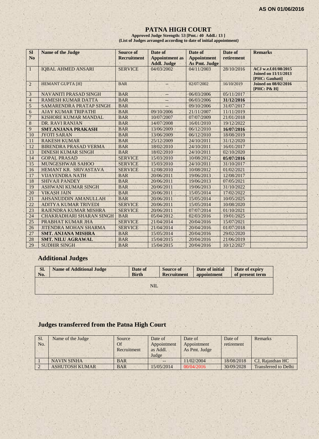#### **PATNA HIGH COURT**

**Approved Judge Strength: 53 [Pmt.: 40 Addl.: 13 ] (List of Judges arranged according to date of initial appointment)**

| <b>SI</b><br>N <sub>o</sub> | <b>Name of the Judge</b>        | <b>Source of</b><br><b>Recruitment</b> | Date of<br><b>Appointment</b> as | Date of<br><b>Appointment</b> | Date of<br>retirement | <b>Remarks</b>                                                        |
|-----------------------------|---------------------------------|----------------------------------------|----------------------------------|-------------------------------|-----------------------|-----------------------------------------------------------------------|
|                             |                                 |                                        | <b>Addl. Judge</b>               | As Pmt. Judge                 |                       |                                                                       |
| $\mathbf{1}$                | <b>IOBAL AHMED ANSARI</b>       | <b>SERVICE</b>                         | 04/03/2002                       | 04/11/2003                    | 28/10/2016            | ACJ w.e.f.01/08/2015<br><b>Joined on 11/11/2013</b><br>[PHC: Gauhati] |
| 2                           | <b>HEMANT GUPTA [H]</b>         | <b>BAR</b>                             |                                  | 02/07/2002                    | 16/10/2019            | <b>Joined on 08/02/2016</b><br>[PHC: P& H]                            |
| 3                           | <b>NAVANITI PRASAD SINGH</b>    | <b>BAR</b>                             | --                               | 06/03/2006                    | 05/11/2017            |                                                                       |
| $\overline{4}$              | <b>RAMESH KUMAR DATTA</b>       | <b>BAR</b>                             | $-$                              | 06/03/2006                    | 31/12/2016            |                                                                       |
| 5                           | SAMARENDRA PRATAP SINGH         | <b>BAR</b>                             |                                  | 09/10/2006                    | 31/07/2017            |                                                                       |
| 6                           | <b>AJAY KUMAR TRIPATHI</b>      | <b>BAR</b>                             | 09/10/2006                       | 21/11/2007                    | 11/11/2019            |                                                                       |
| $\overline{7}$              | <b>KISHORE KUMAR MANDAL</b>     | <b>BAR</b>                             | 10/07/2007                       | 07/07/2009                    | 21/01/2018            |                                                                       |
| $\,8\,$                     | DR. RAVI RANJAN                 | <b>BAR</b>                             | 14/07/2008                       | 16/01/2010                    | 19/12/2022            |                                                                       |
| 9                           | <b>SMT.ANJANA PRAKASH</b>       | <b>BAR</b>                             | 13/06/2009                       | 06/12/2010                    | 16/07/2016            |                                                                       |
| 10                          | <b>JYOTI SARAN</b>              | <b>BAR</b>                             | 13/06/2009                       | 06/12/2010                    | 18/08/2019            |                                                                       |
| 11                          | <b>RAKESH KUMAR</b>             | <b>BAR</b>                             | 25/12/2009                       | 24/10/2011                    | 31/12/2020            |                                                                       |
| 12                          | <b>BIRENDRA PRASAD VERMA</b>    | <b>BAR</b>                             | 18/02/2010                       | 24/10/2011                    | 16/01/2017            |                                                                       |
| 13                          | <b>DINESH KUMAR SINGH</b>       | <b>BAR</b>                             | 18/02/2010                       | 24/10/2011                    | 02/10/2020            |                                                                       |
| 14                          | <b>GOPAL PRASAD</b>             | <b>SERVICE</b>                         | 15/03/2010                       | 10/08/2012                    | 05/07/2016            |                                                                       |
| 15                          | <b>MUNGESHWAR SAHOO</b>         | <b>SERVICE</b>                         | 15/03/2010                       | 24/10/2011                    | 31/10/2017            |                                                                       |
| 16                          | HEMANT KR. SRIVASTAVA           | <b>SERVICE</b>                         | 12/08/2010                       | 10/08/2012                    | 01/02/2021            |                                                                       |
| 17                          | <b>VIJAYENDRA NATH</b>          | <b>BAR</b>                             | 20/06/2011                       | 19/06/2013                    | 12/08/2017            |                                                                       |
| 18                          | <b>SHIVAJI PANDEY</b>           | <b>BAR</b>                             | 20/06/2011                       | 19/06/2013                    | 07/05/2021            |                                                                       |
| 19                          | <b>ASHWANI KUMAR SINGH</b>      | <b>BAR</b>                             | 20/06/2011                       | 19/06/2013                    | 31/10/2022            |                                                                       |
| 20                          | <b>VIKASH JAIN</b>              | <b>BAR</b>                             | 20/06/2011                       | 15/05/2014                    | 17/02/2022            |                                                                       |
| 21                          | AHSANUDDIN AMANULLAH            | <b>BAR</b>                             | 20/06/2011                       | 15/05/2014                    | 10/05/2025            |                                                                       |
| 22                          | ADITYA KUMAR TRIVEDI            | <b>SERVICE</b>                         | 20/06/2011                       | 15/05/2014                    | 10/08/2020            |                                                                       |
| 23                          | RAJENDRA KUMAR MISHRA           | <b>SERVICE</b>                         | 20/06/2011                       | 07/07/2014                    | 01/10/2021            |                                                                       |
| 24                          | <b>CHAKRADHARI SHARAN SINGH</b> | <b>BAR</b>                             | 05/04/2012                       | 02/03/2016                    | 19/01/2025            |                                                                       |
| 25                          | PRABHAT KUMAR JHA               | <b>SERVICE</b>                         | 21/04/2014                       | 20/04/2016                    | 15/07/2021            |                                                                       |
| 26                          | <b>JITENDRA MOHAN SHARMA</b>    | <b>SERVICE</b>                         | 21/04/2014                       | 20/04/2016                    | 01/07/2018            |                                                                       |
| 27                          | <b>SMT. ANJANA MISHRA</b>       | <b>BAR</b>                             | 15/05/2014                       | 20/04/2016                    | 29/02/2020            |                                                                       |
| 28                          | <b>SMT. NILU AGRAWAL</b>        | <b>BAR</b>                             | 15/04/2015                       | 20/04/2016                    | 21/06/2019            |                                                                       |
| 29                          | <b>SUDHIR SINGH</b>             | <b>BAR</b>                             | 15/04/2015                       | 20/04/2016                    | 10/12/2027            |                                                                       |

# **Additional Judges**

| SI.<br>No. | <b>Name of Additional Judge</b> | Date of<br><b>Birth</b> | <b>Source of</b><br><b>Recruitment</b> | Date of initial<br>appointment | Date of expiry<br>of present term |
|------------|---------------------------------|-------------------------|----------------------------------------|--------------------------------|-----------------------------------|
|            |                                 | NIL.                    |                                        |                                |                                   |
|            |                                 |                         |                                        |                                |                                   |

# **Judges transferred from the Patna High Court**

| Sl.<br>No. | Name of the Judge     | Source<br>Of<br>Recruitment | Date of<br>Appointment<br>as Addl.<br>Judge | Date of<br>Appointment<br>As Pmt. Judge | Date of<br>retirement | Remarks                     |
|------------|-----------------------|-----------------------------|---------------------------------------------|-----------------------------------------|-----------------------|-----------------------------|
|            | <b>NAVIN SINHA</b>    | <b>BAR</b>                  | $- -$                                       | 11/02/2004                              | 18/08/2018            | CJ, Rajasthan HC            |
|            | <b>ASHUTOSH KUMAR</b> | <b>BAR</b>                  | 15/05/2014                                  | 00/04/2016                              | 30/09/2028            | <b>Transferred to Delhi</b> |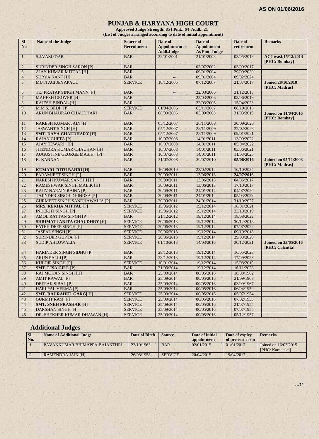#### **PUNJAB & HARYANA HIGH COURT**

**Approved Judge Strength: 85 [ Pmt.: 64 Addl.: 21 ] (List of Judges arranged according to date of initial appointment)**

| <b>SI</b>       | Name of the Judge                    | <b>Source of</b>   | Date of                                    | Date of                                    | Date of    | <b>Remarks</b>                                 |
|-----------------|--------------------------------------|--------------------|--------------------------------------------|--------------------------------------------|------------|------------------------------------------------|
| N <sub>o</sub>  |                                      | <b>Recruitment</b> | <b>Appointment as</b><br><b>Addl.Judge</b> | <b>Appointment</b><br><b>As Pmt. Judge</b> | retirement |                                                |
| $\mathbf{1}$    | <b>S.J.VAZIFDAR</b>                  | <b>BAR</b>         | 22/01/2001                                 | 21/01/2003                                 | 03/05/2018 | ACJ w.e.f.15/12/2014                           |
|                 |                                      |                    |                                            |                                            |            | [PHC: Bombay]                                  |
| $\overline{2}$  | <b>SURINDER SINGH SARON [P]</b>      | <b>BAR</b>         | $\overline{\phantom{a}}$                   | 02/07/2002                                 | 03/09/2017 |                                                |
| 3               | <b>AJAY KUMAR MITTAL [H]</b>         | <b>BAR</b>         |                                            | 09/01/2004                                 | 29/09/2020 |                                                |
| $\overline{4}$  | <b>SURYA KANT [H]</b>                | <b>BAR</b>         |                                            | 09/01/2004                                 | 09/02/2024 |                                                |
| 5 <sup>1</sup>  | MUTTACI JEYAPAUL                     | <b>SERVICE</b>     | 10/12/2005                                 | 07/12/2007                                 | 21/07/2017 | <b>Joined 28/10/2010</b><br>[PHC: Madras]      |
| 6               | TEJ PRATAP SINGH MANN [P]            | <b>BAR</b>         | --                                         | 22/03/2006                                 | 31/12/2018 |                                                |
| $7\phantom{.0}$ | <b>MAHESH GROVER [H]</b>             | <b>BAR</b>         | $\overline{\phantom{a}}$                   | 22/03/2006                                 | 03/06/2019 |                                                |
| $\,8$           | <b>RAJESH BINDAL [H]</b>             | <b>BAR</b>         |                                            | 22/03/2006                                 | 15/04/2023 |                                                |
| 9               | M.M.S. BEDI [P]                      | <b>SERVICE</b>     | 01/04/2006                                 | 05/11/2007                                 | 08/10/2018 |                                                |
| 10              | ARUN BHAURAO CHAUDHARI               | <b>BAR</b>         | 08/09/2006                                 | 05/09/2008                                 | 31/03/2019 | <b>Joined on 11/04/2016</b><br>[PHC: Bombay]   |
| 11              | <b>RAKESH KUMAR JAIN [H]</b>         | <b>BAR</b>         | 05/12/2007                                 | 26/11/2008                                 | 30/09/2020 |                                                |
| 12              | <b>JASWANT SINGH [H]</b>             | <b>BAR</b>         | 05/12/2007                                 | 28/11/2009                                 | 22/02/2023 |                                                |
| 13              | <b>SMT. DAYA CHAUDHARY [H]</b>       | <b>BAR</b>         | 05/12/2007                                 | 28/11/2009                                 | 09/01/2021 |                                                |
| 14              | <b>RAJAN GUPTA [P]</b>               | <b>BAR</b>         | 10/07/2008                                 | 14/01/2011                                 | 13/09/2022 |                                                |
| 15              | AJAY TEWARI [P]                      | <b>BAR</b>         | 10/07/2008                                 | 14/01/2011                                 | 05/04/2022 |                                                |
| 16              | <b>JITENDRA KUMAR CHAUHAN [H]</b>    | <b>BAR</b>         | 10/07/2008                                 | 14/01/2011                                 | 05/06/2021 |                                                |
| 17              | <b>AUGUSTINE GEORGE MASIH [P]</b>    | <b>BAR</b>         | 10/07/2008                                 | 14/01/2011                                 | 11/03/2025 |                                                |
| 18              | <b>K. KANNAN</b>                     | <b>BAR</b>         | 31/07/2008                                 | 30/07/2010                                 | 05/06/2016 | <b>Joined on 05/11/2008</b><br>[PHC: Madras]   |
| 19              | <b>KUMARI RITU BAHRI [H]</b>         | <b>BAR</b>         | 16/08/2010                                 | 23/02/2012                                 | 10/10/2024 |                                                |
| 20              | <b>PARAMJEET SINGH [P]</b>           | <b>BAR</b>         | 30/09/2011                                 | 13/06/2013                                 | 24/07/2016 |                                                |
| 21              | <b>NARESH KUMAR SANGHI [H]</b>       | <b>BAR</b>         | 30/09/2011                                 | 13/06/2013                                 | 04/06/2017 |                                                |
| 22              | <b>RAMESHWAR SINGH MALIK [H]</b>     | <b>BAR</b>         | 30/09/2011                                 | 13/06/2013                                 | 17/10/2017 |                                                |
| 23              | <b>RAJIV NARAIN RAINA [P]</b>        | <b>BAR</b>         | 30/09/2011                                 | 24/01/2014                                 | 04/07/2020 |                                                |
| 24              | <b>TAJINDER SINGH DHINDSA [P]</b>    | <b>BAR</b>         | 30/09/2011                                 | 24/01/2014                                 | 05/03/2023 |                                                |
| 25              | <b>GURMEET SINGH SANDHAWALIA [P]</b> | <b>BAR</b>         | 30/09/2011                                 | 24/01/2014                                 | 31/10/2027 |                                                |
| 26              | <b>MRS. REKHA MITTAL [P]</b>         | <b>SERVICE</b>     | 15/06/2012                                 | 19/12/2014                                 | 16/01/2021 |                                                |
| 27              | <b>INDERJIT SINGH [P]</b>            | <b>SERVICE</b>     | 15/06/2012                                 | 19/12/2014                                 | 23/10/2019 |                                                |
| 28              | <b>AMOL RATTAN SINGH [P]</b>         | <b>BAR</b>         | 21/12/2012                                 | 19/12/2014                                 | 18/08/2022 |                                                |
| 29              | <b>SHRIMATI ANITA CHAUDHRY [H]</b>   | <b>SERVICE</b>     | 20/06/2013                                 | 19/12/2014                                 | 30/12/2018 |                                                |
| 30              | <b>FATEH DEEP SINGH [P]</b>          | <b>SERVICE</b>     | 20/06/2013                                 | 19/12/2014                                 | 07/07/2022 |                                                |
| 31              | <b>JASPAL SINGH [P]</b>              | <b>SERVICE</b>     | 20/06/2013                                 | 19/12/2014                                 | 09/10/2018 |                                                |
| 32              | <b>SURINDER GUPTA [P]</b>            | <b>SERVICE</b>     | 20/06/2013                                 | 19/12/2014                                 | 29/03/2020 |                                                |
| 33              | <b>SUDIP AHLUWALIA</b>               | <b>SERVICE</b>     | 01/10/2013                                 | 14/03/2016                                 | 30/12/2021 | <b>Joined on 23/05/2016</b><br>[PHC: Calcutta] |
| 34              | <b>HARINDER SINGH SIDHU [P]</b>      | <b>BAR</b>         | 28/12/2013                                 | 19/12/2014                                 | 16/05/2023 |                                                |
| 35              | <b>ARUN PALLI [P]</b>                | <b>BAR</b>         | 28/12/2013                                 | 19/12/2014                                 | 17/09/2026 |                                                |
| 36              | <b>KULDIP SINGH [P]</b>              | <b>SERVICE</b>     | 10/01/2014                                 | 19/12/2014                                 | 15/08/2019 |                                                |
| 37              | <b>SMT. LISA GILL [P]</b>            | <b>BAR</b>         | 31/03/2014                                 | 19/12/2014                                 | 16/11/2028 |                                                |
| 38              | <b>RAJ MOHAN SINGH [H]</b>           | <b>BAR</b>         | 25/09/2014                                 | 00/05/2016                                 | 18/08/1962 |                                                |
| 39              | <b>AMIT RAWAL [P]</b>                | <b>BAR</b>         | 25/09/2014                                 | 00/05/2016                                 | 21/09/1963 | ×.                                             |
| 40              | <b>DEEPAK SIBAL [P]</b>              | <b>BAR</b>         | 25/09/2014                                 | 00/05/2016                                 | 03/09/1967 |                                                |
| 41              | <b>HARI PAL VERMA [P]</b>            | <b>BAR</b>         | 25/09/2014                                 | 00/05/2016                                 | 06/04/1959 |                                                |
| 42              | <b>SMT. RAJ RAHUL GARG[H]</b>        | <b>SERVICE</b>     | 25/09/2014                                 | 00/05/2016                                 | 05/07/1954 |                                                |
| 43              | <b>GURMIT RAM [P]</b>                | <b>SERVICE</b>     | 25/09/2014                                 | 00/05/2016                                 | 07/02/1955 |                                                |
| 44              | <b>SMT. SNEH PRASHAR [H]</b>         | <b>SERVICE</b>     | 25/09/2014                                 | 00/05/2016                                 | 21/07/1955 |                                                |
| 45              | <b>DARSHAN SINGH [H]</b>             | <b>SERVICE</b>     | 25/09/2014                                 | 00/05/2016                                 | 07/07/1955 |                                                |
| 46              | DR. SHEKHER KUMAR DHAWAN [H]         | <b>SERVICE</b>     | 25/09/2014                                 | 00/05/2016                                 | 05/12/1957 |                                                |

# **Additional Judges**

| SI.<br>No. | <b>Name of Additional Judge</b> | Date of Birth | <b>Source</b>  | Date of initial<br>appointment | Date of expiry<br>of present term | <b>Remarks</b>                           |
|------------|---------------------------------|---------------|----------------|--------------------------------|-----------------------------------|------------------------------------------|
|            | PAVANKUMAR BHIMAPPA BAJANTHRI   | 23/10/1963    | <b>BAR</b>     | 02/01/2015                     | 01/01/2017                        | Joined on 16/03/2015<br>[PHC: Karnataka] |
|            | RAMENDRA JAIN [H]               | 26/08/1958    | <b>SERVICE</b> | 20/04/2015                     | 19/04/2017                        |                                          |

**…2/-**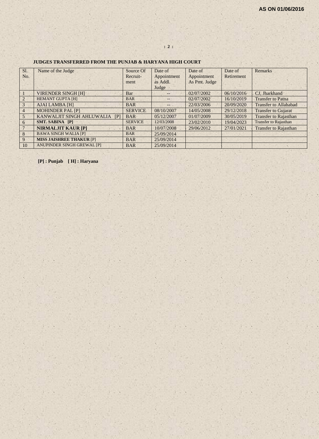| Sl.             | Name of the Judge               | Source Of      | Date of           | Date of       | Date of    | <b>Remarks</b>               |
|-----------------|---------------------------------|----------------|-------------------|---------------|------------|------------------------------|
| No.             |                                 | Recruit-       | Appointment       | Appointment   | Retirement |                              |
|                 |                                 | ment           | as Addl.          | As Pmt. Judge |            |                              |
|                 |                                 |                | Judge             |               |            |                              |
|                 | <b>VIRENDER SINGH [H]</b>       | Bar            | $--$              | 02/07/2002    | 06/10/2016 | CJ, Jharkhand                |
| $\overline{2}$  | <b>HEMANT GUPTA [H]</b>         | <b>BAR</b>     | $\qquad \qquad -$ | 02/07/2002    | 16/10/2019 | <b>Transfer to Patna</b>     |
| 3               | <b>AJAI LAMBA [H]</b>           | <b>BAR</b>     | $--$              | 22/03/2006    | 20/09/2020 | <b>Transfer to Allahabad</b> |
| $\overline{4}$  | <b>MOHINDER PAL [P]</b>         | <b>SERVICE</b> | 08/10/2007        | 14/05/2008    | 29/12/2018 | <b>Transfer to Gujarat</b>   |
| 5               | KANWALJIT SINGH AHLUWALIA<br>[  | <b>BAR</b>     | 05/12/2007        | 01/07/2009    | 30/05/2019 | <b>Transfer to Rajasthan</b> |
| 6               | <b>SMT. SABINA [P]</b>          | <b>SERVICE</b> | 12/03/2008        | 23/02/2010    | 19/04/2023 | <b>Transfer to Rajasthan</b> |
| $7\phantom{.0}$ | <b>NIRMALJIT KAUR [P]</b>       | <b>BAR</b>     | 10/07/2008        | 29/06/2012    | 27/01/2021 | <b>Transfer to Rajasthan</b> |
| 8               | <b>BAWA SINGH WALIA [P]</b>     | <b>BAR</b>     | 25/09/2014        |               |            |                              |
| 9               | <b>MISS JAISHREE THAKUR [P]</b> | <b>BAR</b>     | 25/09/2014        |               |            |                              |
| 10              | ANUPINDER SINGH GREWAL [P]      | <b>BAR</b>     | 25/09/2014        |               |            |                              |

**: 2 :**

#### **JUDGES TRANSFERRED FROM THE PUNJAB & HARYANA HIGH COURT**

**[P] : Punjab [ H] : Haryana**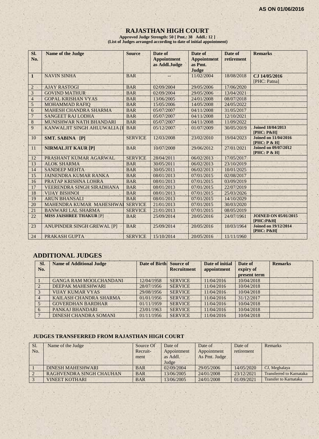# **RAJASTHAN HIGH COURT**

**Approved Judge Strength: 50 [ Pmt.: 38 Addl.: 12 ] (List of Judges arranged according to date of initial appointment)**

| Sl.<br>No.     | <b>Name of the Judge</b>          | <b>Source</b>  | Date of<br><b>Appointment</b><br>as Addl.Judge | Date of<br><b>Appointment</b><br>as Pmt.<br>Judge | Date of<br>retirement | <b>Remarks</b>                                    |
|----------------|-----------------------------------|----------------|------------------------------------------------|---------------------------------------------------|-----------------------|---------------------------------------------------|
| $\mathbf{1}$   | <b>NAVIN SINHA</b>                | <b>BAR</b>     |                                                | 11/02/2004                                        | 18/08/2018            | CJ 14/05/2016<br>[PHC: Patna]                     |
| $\overline{2}$ | <b>AJAY RASTOGI</b>               | <b>BAR</b>     | 02/09/2004                                     | 29/05/2006                                        | 17/06/2020            |                                                   |
| 3              | <b>GOVIND MATHUR</b>              | <b>BAR</b>     | 02/09/2004                                     | 29/05/2006                                        | 13/04/2021            |                                                   |
| $\overline{4}$ | <b>GOPAL KRISHAN VYAS</b>         | <b>BAR</b>     | 13/06/2005                                     | 24/01/2008                                        | 08/07/2018            |                                                   |
| 5              | <b>MOHAMMAD RAFIO</b>             | <b>BAR</b>     | 15/05/2006                                     | 14/05/2008                                        | 24/05/2022            |                                                   |
| 6              | <b>MAHESH CHANDRA SHARMA</b>      | <b>BAR</b>     | 05/07/2007                                     | 04/11/2008                                        | 31/05/2017            |                                                   |
| $\overline{7}$ | <b>SANGEET RAJ LODHA</b>          | <b>BAR</b>     | 05/07/2007                                     | 04/11/2008                                        | 12/10/2021            |                                                   |
| $\overline{8}$ | MUNISHWAR NATH BHANDARI           | <b>BAR</b>     | 05/07/2007                                     | 04/11/2008                                        | 11/09/2022            |                                                   |
| 9              | KANWALJIT SINGH AHLUWALIA II      | <b>BAR</b>     | 05/12/2007                                     | 01/07/2009                                        | 30/05/2019            | <b>Joined 18/04/2013</b><br><b>[PHC: P&amp;H]</b> |
| 10             | SMT. SABINA [P]                   | <b>SERVICE</b> | 12/03/2008                                     | 23/02/2010                                        | 19/04/2023            | <b>Joined on 11/04/2016</b><br>[PHC: P & H]       |
| 11             | <b>NIRMALJIT KAUR [P]</b>         | <b>BAR</b>     | 10/07/2008                                     | 29/06/2012                                        | 27/01/2021            | <b>Joined on 09/07/2012</b><br>[PHC: P & H]       |
| 12             | PRASHANT KUMAR AGARWAL            | <b>SERVICE</b> | 28/04/2011                                     | 06/02/2013                                        | 17/05/2017            |                                                   |
| 13             | <b>ALOK SHARMA</b>                | <b>BAR</b>     | 30/05/2011                                     | 06/02/2013                                        | 23/10/2019            |                                                   |
| 14             | <b>SANDEEP MEHTA</b>              | <b>BAR</b>     | 30/05/2011                                     | 06/02/2013                                        | 10/01/2025            |                                                   |
| 15             | <b>JAINENDRA KUMAR RANKA</b>      | <b>BAR</b>     | 08/01/2013                                     | 07/01/2015                                        | 02/08/2017            |                                                   |
| 16             | PRATAP KRISHNA LOHRA              | <b>BAR</b>     | 08/01/2013                                     | 07/01/2015                                        | 03/09/2019            |                                                   |
| 17             | <b>VEERENDRA SINGH SIRADHANA</b>  | <b>BAR</b>     | 08/01/2013                                     | 07/01/2015                                        | 22/07/2019            |                                                   |
| 18             | <b>VIJAY BISHNOI</b>              | <b>BAR</b>     | 08/01/2013                                     | $\overline{07/01}/2015$                           | 25/03/2026            |                                                   |
| 19             | <b>ARUN BHANSALI</b>              | <b>BAR</b>     | 08/01/2013                                     | 07/01/2015                                        | 14/10/2029            |                                                   |
| 20             | MAHENDRA KUMAR MAHESHWAI          | <b>SERVICE</b> | 21/01/2013                                     | 07/01/2015                                        | 30/03/2020            |                                                   |
| 21             | <b>BANWARI LAL SHARMA</b>         | <b>SERVICE</b> | 21/01/2013                                     | 07/01/2015                                        | 08/05/2019            |                                                   |
| 22             | <b>MISS JAISHREE THAKUR [P]</b>   | <b>BAR</b>     | 25/09/2014                                     | 20/05/2016                                        | 24/07/1961            | <b>JOINED ON 05/01/2015</b><br>[PHC:P&H]          |
| 23             | <b>ANUPINDER SINGH GREWAL [P]</b> | <b>BAR</b>     | 25/09/2014                                     | 20/05/2016                                        | 10/03/1964            | <b>Joined on 19/12/2014</b><br>$[PHC: P\&H]$      |
| 24             | PRAKASH GUPTA                     | <b>SERVICE</b> | 15/10/2014                                     | 20/05/2016                                        | 11/11/1960            |                                                   |

# **ADDITIONAL JUDGES**

 $\mathbf{A}$ 

| SI.<br>No. | <b>Name of Additional Judge</b> | Date of Birth | Source of<br><b>Recruitment</b> | Date of initial<br>appointment | Date of<br>expiry of<br>present term | <b>Remarks</b> |
|------------|---------------------------------|---------------|---------------------------------|--------------------------------|--------------------------------------|----------------|
|            | <b>GANGA RAM MOOLCHANDANI</b>   | 12/04/1958    | <b>SERVICE</b>                  | 11/04/2016                     | 10/04/2018                           |                |
|            | DEEPAK MAHESHWARI               | 28/07/1956    | <b>SERVICE</b>                  | 11/04/2016                     | 10/04/2018                           |                |
|            | <b>VIJAY KUMAR VYAS</b>         | 29/08/1956    | <b>SERVICE</b>                  | 11/04/2016                     | 10/04/2018                           |                |
|            | KAILASH CHANDRA SHARMA          | 01/01/1956    | <b>SERVICE</b>                  | 11/04/2016                     | 31/12/2017                           |                |
|            | <b>GOVERDHAN BARDHAR</b>        | 01/11/1959    | <b>SERVICE</b>                  | 11/04/2016                     | 10/04/2018                           |                |
| 6          | PANKAJ BHANDARI                 | 23/01/1963    | <b>SERVICE</b>                  | 11/04/2016                     | 10/04/2018                           |                |
|            | <b>DINESH CHANDRA SOMANI</b>    | 01/11/1956    | <b>SERVICE</b>                  | 11/04/2016                     | 10/04/2018                           |                |

#### **JUDGES TRANSFERRED FROM RAJASTHAN HIGH COURT**

| Sl. | Name of the Judge        | Source Of  | Date of     | Date of       | Date of    | <b>Remarks</b>                  |
|-----|--------------------------|------------|-------------|---------------|------------|---------------------------------|
| No. |                          | Recruit-   | Appointment | Appointment   | retirement |                                 |
|     |                          | ment       | as Addl.    | As Pmt. Judge |            |                                 |
|     |                          |            | Judge       |               |            |                                 |
|     | <b>DINESH MAHESHWARI</b> | <b>BAR</b> | 02/09/2004  | 29/05/2006    | 14/05/2020 | CJ, Meghalaya                   |
|     | RAGHVENDRA SINGH CHAUHAN | <b>BAR</b> | 13/06/2005  | 24/01/2008    | 23/12/2021 | <b>Transferred to Karnataka</b> |
|     | <b>VINEET KOTHARI</b>    | <b>BAR</b> | 13/06/2005  | 24/01/2008    | 01/09/2021 | <b>Transfer to Karnataka</b>    |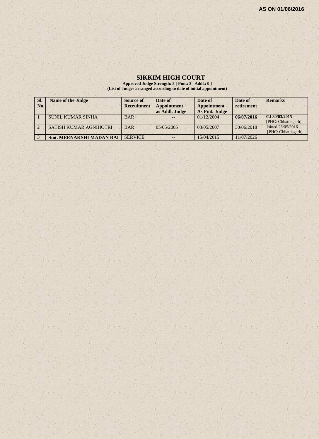# **SIKKIM HIGH COURT**

**Approved Judge Strength: 3 [ Pmt.: 3 Addl.: 0 ] (List of Judges arranged according to date of initial appointment)**

| SI.            | <b>Name of the Judge</b>        | <b>Source of</b>   | Date of            | Date of            | Date of    | <b>Remarks</b>      |
|----------------|---------------------------------|--------------------|--------------------|--------------------|------------|---------------------|
| No.            |                                 | <b>Recruitment</b> | <b>Appointment</b> | <b>Appointment</b> | retirement |                     |
|                |                                 |                    | as Addl. Judge     | As Pmt. Judge      |            |                     |
|                | SUNIL KUMAR SINHA               | <b>BAR</b>         |                    | 01/12/2004         | 06/07/2016 | CJ 30/03/2015       |
|                |                                 |                    |                    |                    |            | [PHC: Chhattisgarh] |
| $\overline{2}$ | SATISH KUMAR AGNIHOTRI          | <b>BAR</b>         | 05/05/2005         | 03/05/2007         | 30/06/2018 | Joined 23/05/2016   |
|                |                                 |                    |                    |                    |            | [PHC: Chhattisgarh] |
| $\sqrt{3}$     | <b>Smt. MEENAKSHI MADAN RAI</b> | <b>SERVICE</b>     | --                 | 15/04/2015         | 11/07/2026 |                     |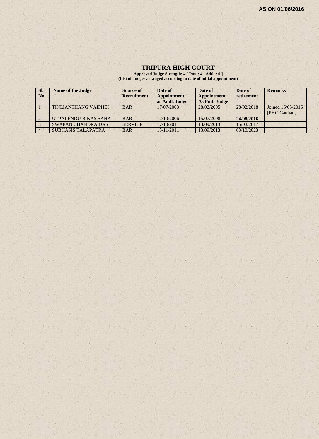# **TRIPURA HIGH COURT**

**Approved Judge Strength: 4 [ Pmt.: 4 Addl.: 0 ] (List of Judges arranged according to date of initial appointment)**

| SI. | <b>Name of the Judge</b>    | Source of          | Date of                       | Date of                             | Date of    | <b>Remarks</b>                     |
|-----|-----------------------------|--------------------|-------------------------------|-------------------------------------|------------|------------------------------------|
| No. |                             | <b>Recruitment</b> | Appointment<br>as Addl. Judge | <b>Appointment</b><br>As Pmt. Judge | retirement |                                    |
|     | <b>TINLIANTHANG VAIPHEI</b> | <b>BAR</b>         | 17/07/2003                    | 28/02/2005                          | 28/02/2018 | Joined 16/05/2016<br>[PHC:Gauhati] |
|     | UTPALENDU BIKAS SAHA        | <b>BAR</b>         | 12/10/2006                    | 15/07/2008                          | 24/08/2016 |                                    |
|     | <b>SWAPAN CHANDRA DAS</b>   | <b>SERVICE</b>     | 17/10/2011                    | 13/09/2013                          | 15/03/2017 |                                    |
|     | <b>SUBHASIS TALAPATRA</b>   | <b>BAR</b>         | 15/11/2011                    | 13/09/2013                          | 03/10/2023 |                                    |